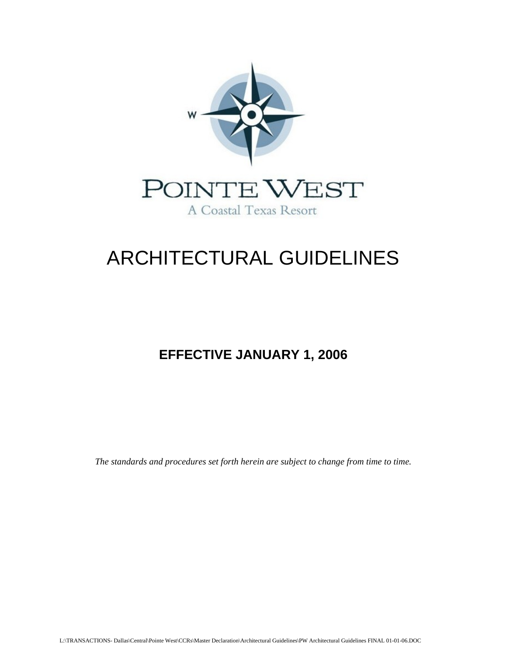

# ARCHITECTURAL GUIDELINES

# **EFFECTIVE JANUARY 1, 2006**

*The standards and procedures set forth herein are subject to change from time to time.*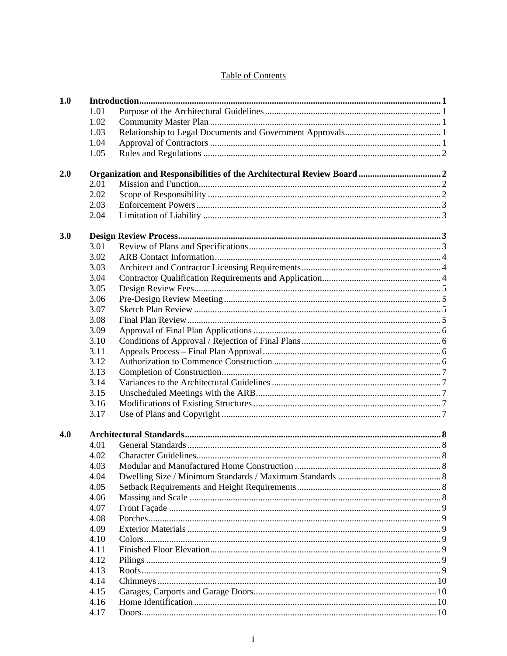# **Table of Contents**

| 1.0 |      |  |
|-----|------|--|
|     | 1.01 |  |
|     | 1.02 |  |
|     | 1.03 |  |
|     | 1.04 |  |
|     | 1.05 |  |
|     |      |  |
| 2.0 |      |  |
|     | 2.01 |  |
|     | 2.02 |  |
|     | 2.03 |  |
|     | 2.04 |  |
| 3.0 |      |  |
|     | 3.01 |  |
|     | 3.02 |  |
|     | 3.03 |  |
|     |      |  |
|     | 3.04 |  |
|     | 3.05 |  |
|     | 3.06 |  |
|     | 3.07 |  |
|     | 3.08 |  |
|     | 3.09 |  |
|     | 3.10 |  |
|     | 3.11 |  |
|     | 3.12 |  |
|     | 3.13 |  |
|     | 3.14 |  |
|     | 3.15 |  |
|     | 3.16 |  |
|     | 3.17 |  |
|     |      |  |
| 4.0 |      |  |
|     | 4.01 |  |
|     | 4.02 |  |
|     | 4.03 |  |
|     | 4.04 |  |
|     | 4.05 |  |
|     | 4.06 |  |
|     | 4.07 |  |
|     | 4.08 |  |
|     | 4.09 |  |
|     | 4.10 |  |
|     | 4.11 |  |
|     | 4.12 |  |
|     | 4.13 |  |
|     | 4.14 |  |
|     | 4.15 |  |
|     | 4.16 |  |
|     | 4.17 |  |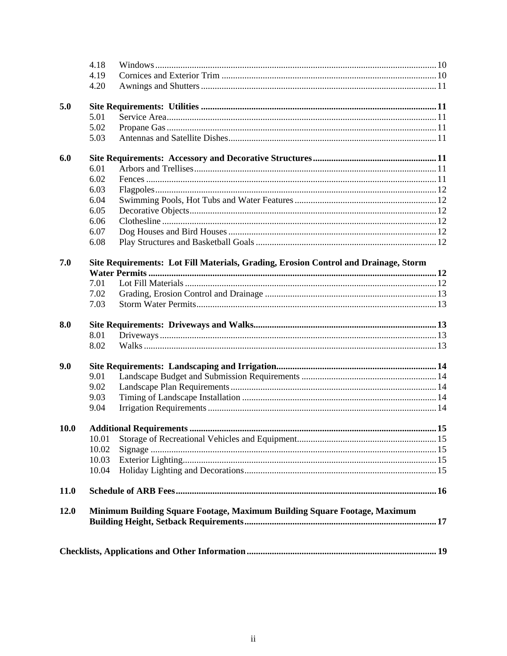| 12.0        |              | Minimum Building Square Footage, Maximum Building Square Footage, Maximum           |  |
|-------------|--------------|-------------------------------------------------------------------------------------|--|
| <b>11.0</b> |              |                                                                                     |  |
|             | 10.04        |                                                                                     |  |
|             | 10.03        |                                                                                     |  |
|             | 10.02        |                                                                                     |  |
|             | 10.01        |                                                                                     |  |
| <b>10.0</b> |              |                                                                                     |  |
|             | 9.04         |                                                                                     |  |
|             | 9.03         |                                                                                     |  |
|             | 9.02         |                                                                                     |  |
|             | 9.01         |                                                                                     |  |
| 9.0         |              |                                                                                     |  |
|             | 8.02         |                                                                                     |  |
|             | 8.01         |                                                                                     |  |
| 8.0         | 7.03         |                                                                                     |  |
|             | 7.02         |                                                                                     |  |
|             | 7.01         |                                                                                     |  |
|             |              |                                                                                     |  |
| 7.0         |              | Site Requirements: Lot Fill Materials, Grading, Erosion Control and Drainage, Storm |  |
|             | 6.08         |                                                                                     |  |
|             | 6.07         |                                                                                     |  |
|             | 6.06         |                                                                                     |  |
|             | 6.05         |                                                                                     |  |
|             | 6.03<br>6.04 |                                                                                     |  |
|             | 6.02         |                                                                                     |  |
|             | 6.01         |                                                                                     |  |
| 6.0         |              |                                                                                     |  |
|             | 5.03         |                                                                                     |  |
|             | 5.02         |                                                                                     |  |
|             | 5.01         |                                                                                     |  |
| 5.0         |              |                                                                                     |  |
|             | 4.20         |                                                                                     |  |
|             | 4.19         |                                                                                     |  |
|             | 4.18         |                                                                                     |  |
|             |              |                                                                                     |  |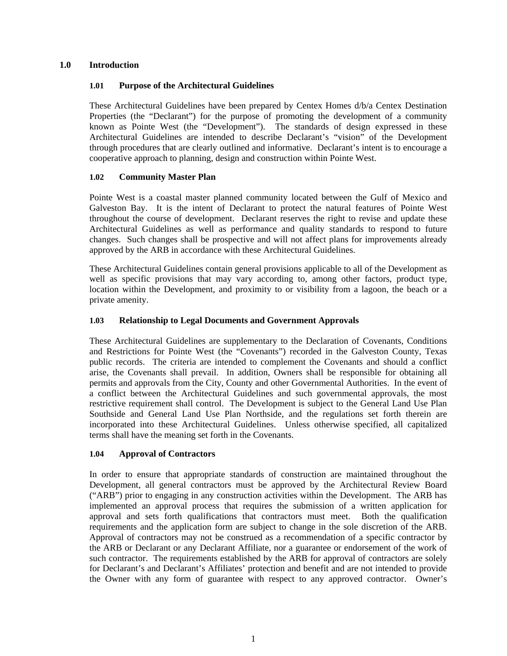#### <span id="page-3-0"></span>**1.0 Introduction**

#### **1.01 Purpose of the Architectural Guidelines**

These Architectural Guidelines have been prepared by Centex Homes d/b/a Centex Destination Properties (the "Declarant") for the purpose of promoting the development of a community known as Pointe West (the "Development"). The standards of design expressed in these Architectural Guidelines are intended to describe Declarant's "vision" of the Development through procedures that are clearly outlined and informative. Declarant's intent is to encourage a cooperative approach to planning, design and construction within Pointe West.

#### **1.02 Community Master Plan**

Pointe West is a coastal master planned community located between the Gulf of Mexico and Galveston Bay. It is the intent of Declarant to protect the natural features of Pointe West throughout the course of development. Declarant reserves the right to revise and update these Architectural Guidelines as well as performance and quality standards to respond to future changes. Such changes shall be prospective and will not affect plans for improvements already approved by the ARB in accordance with these Architectural Guidelines.

These Architectural Guidelines contain general provisions applicable to all of the Development as well as specific provisions that may vary according to, among other factors, product type, location within the Development, and proximity to or visibility from a lagoon, the beach or a private amenity.

#### **1.03 Relationship to Legal Documents and Government Approvals**

These Architectural Guidelines are supplementary to the Declaration of Covenants, Conditions and Restrictions for Pointe West (the "Covenants") recorded in the Galveston County, Texas public records. The criteria are intended to complement the Covenants and should a conflict arise, the Covenants shall prevail. In addition, Owners shall be responsible for obtaining all permits and approvals from the City, County and other Governmental Authorities. In the event of a conflict between the Architectural Guidelines and such governmental approvals, the most restrictive requirement shall control. The Development is subject to the General Land Use Plan Southside and General Land Use Plan Northside, and the regulations set forth therein are incorporated into these Architectural Guidelines. Unless otherwise specified, all capitalized terms shall have the meaning set forth in the Covenants.

#### **1.04 Approval of Contractors**

In order to ensure that appropriate standards of construction are maintained throughout the Development, all general contractors must be approved by the Architectural Review Board ("ARB") prior to engaging in any construction activities within the Development. The ARB has implemented an approval process that requires the submission of a written application for approval and sets forth qualifications that contractors must meet. Both the qualification requirements and the application form are subject to change in the sole discretion of the ARB. Approval of contractors may not be construed as a recommendation of a specific contractor by the ARB or Declarant or any Declarant Affiliate, nor a guarantee or endorsement of the work of such contractor. The requirements established by the ARB for approval of contractors are solely for Declarant's and Declarant's Affiliates' protection and benefit and are not intended to provide the Owner with any form of guarantee with respect to any approved contractor. Owner's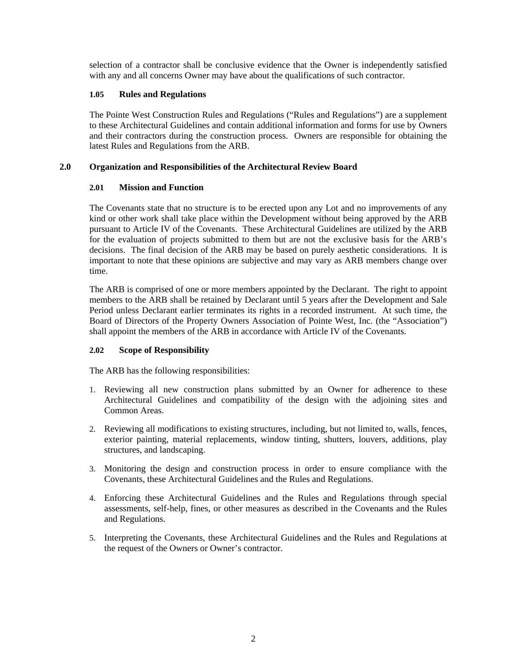<span id="page-4-0"></span>selection of a contractor shall be conclusive evidence that the Owner is independently satisfied with any and all concerns Owner may have about the qualifications of such contractor.

#### **1.05 Rules and Regulations**

The Pointe West Construction Rules and Regulations ("Rules and Regulations") are a supplement to these Architectural Guidelines and contain additional information and forms for use by Owners and their contractors during the construction process. Owners are responsible for obtaining the latest Rules and Regulations from the ARB.

#### **2.0 Organization and Responsibilities of the Architectural Review Board**

#### **2.01 Mission and Function**

The Covenants state that no structure is to be erected upon any Lot and no improvements of any kind or other work shall take place within the Development without being approved by the ARB pursuant to Article IV of the Covenants. These Architectural Guidelines are utilized by the ARB for the evaluation of projects submitted to them but are not the exclusive basis for the ARB's decisions. The final decision of the ARB may be based on purely aesthetic considerations. It is important to note that these opinions are subjective and may vary as ARB members change over time.

The ARB is comprised of one or more members appointed by the Declarant. The right to appoint members to the ARB shall be retained by Declarant until 5 years after the Development and Sale Period unless Declarant earlier terminates its rights in a recorded instrument. At such time, the Board of Directors of the Property Owners Association of Pointe West, Inc. (the "Association") shall appoint the members of the ARB in accordance with Article IV of the Covenants.

#### **2.02 Scope of Responsibility**

The ARB has the following responsibilities:

- 1. Reviewing all new construction plans submitted by an Owner for adherence to these Architectural Guidelines and compatibility of the design with the adjoining sites and Common Areas.
- 2. Reviewing all modifications to existing structures, including, but not limited to, walls, fences, exterior painting, material replacements, window tinting, shutters, louvers, additions, play structures, and landscaping.
- 3. Monitoring the design and construction process in order to ensure compliance with the Covenants, these Architectural Guidelines and the Rules and Regulations.
- 4. Enforcing these Architectural Guidelines and the Rules and Regulations through special assessments, self-help, fines, or other measures as described in the Covenants and the Rules and Regulations.
- 5. Interpreting the Covenants, these Architectural Guidelines and the Rules and Regulations at the request of the Owners or Owner's contractor.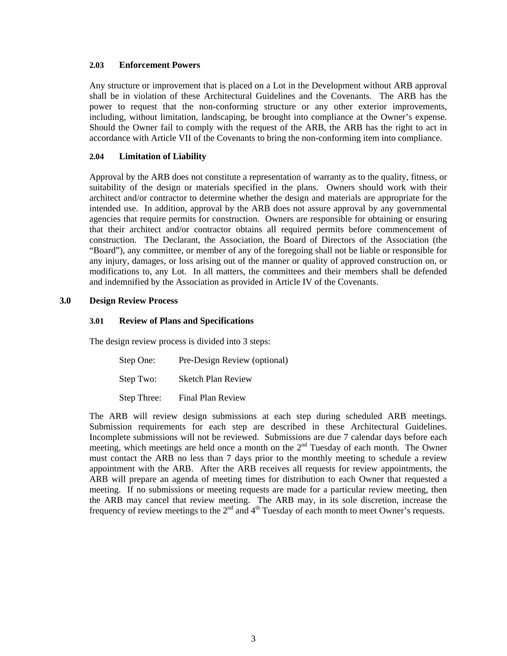#### <span id="page-5-0"></span>**2.03 Enforcement Powers**

Any structure or improvement that is placed on a Lot in the Development without ARB approval shall be in violation of these Architectural Guidelines and the Covenants. The ARB has the power to request that the non-conforming structure or any other exterior improvements, including, without limitation, landscaping, be brought into compliance at the Owner's expense. Should the Owner fail to comply with the request of the ARB, the ARB has the right to act in accordance with Article VII of the Covenants to bring the non-conforming item into compliance.

#### **2.04 Limitation of Liability**

Approval by the ARB does not constitute a representation of warranty as to the quality, fitness, or suitability of the design or materials specified in the plans. Owners should work with their architect and/or contractor to determine whether the design and materials are appropriate for the intended use. In addition, approval by the ARB does not assure approval by any governmental agencies that require permits for construction. Owners are responsible for obtaining or ensuring that their architect and/or contractor obtains all required permits before commencement of construction. The Declarant, the Association, the Board of Directors of the Association (the "Board"), any committee, or member of any of the foregoing shall not be liable or responsible for any injury, damages, or loss arising out of the manner or quality of approved construction on, or modifications to, any Lot. In all matters, the committees and their members shall be defended and indemnified by the Association as provided in Article IV of the Covenants.

#### **3.0 Design Review Process**

#### **3.01 Review of Plans and Specifications**

The design review process is divided into 3 steps:

| Step One:   | Pre-Design Review (optional) |
|-------------|------------------------------|
| Step Two:   | <b>Sketch Plan Review</b>    |
| Step Three: | Final Plan Review            |

The ARB will review design submissions at each step during scheduled ARB meetings. Submission requirements for each step are described in these Architectural Guidelines. Incomplete submissions will not be reviewed. Submissions are due 7 calendar days before each meeting, which meetings are held once a month on the  $2<sup>nd</sup>$  Tuesday of each month. The Owner must contact the ARB no less than 7 days prior to the monthly meeting to schedule a review appointment with the ARB. After the ARB receives all requests for review appointments, the ARB will prepare an agenda of meeting times for distribution to each Owner that requested a meeting. If no submissions or meeting requests are made for a particular review meeting, then the ARB may cancel that review meeting. The ARB may, in its sole discretion, increase the frequency of review meetings to the  $2<sup>nd</sup>$  and  $4<sup>th</sup>$  Tuesday of each month to meet Owner's requests.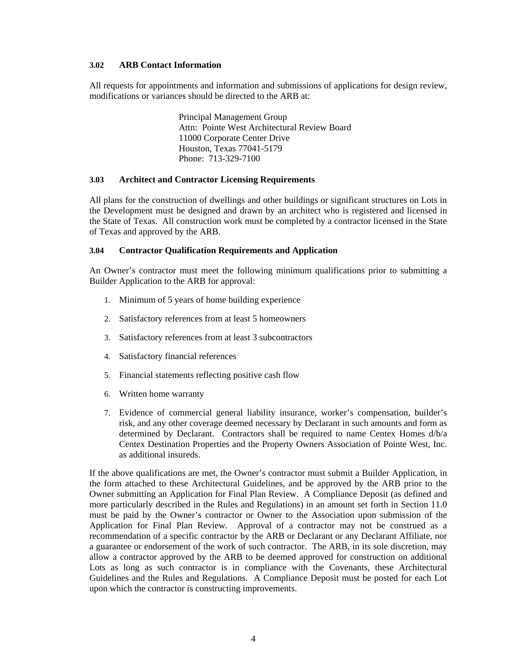#### <span id="page-6-0"></span>**3.02 ARB Contact Information**

All requests for appointments and information and submissions of applications for design review, modifications or variances should be directed to the ARB at:

> Principal Management Group Attn: Pointe West Architectural Review Board 11000 Corporate Center Drive Houston, Texas 77041-5179 Phone: 713-329-7100

#### **3.03 Architect and Contractor Licensing Requirements**

All plans for the construction of dwellings and other buildings or significant structures on Lots in the Development must be designed and drawn by an architect who is registered and licensed in the State of Texas. All construction work must be completed by a contractor licensed in the State of Texas and approved by the ARB.

#### **3.04 Contractor Qualification Requirements and Application**

An Owner's contractor must meet the following minimum qualifications prior to submitting a Builder Application to the ARB for approval:

- 1. Minimum of 5 years of home building experience
- 2. Satisfactory references from at least 5 homeowners
- 3. Satisfactory references from at least 3 subcontractors
- 4. Satisfactory financial references
- 5. Financial statements reflecting positive cash flow
- 6. Written home warranty
- 7. Evidence of commercial general liability insurance, worker's compensation, builder's risk, and any other coverage deemed necessary by Declarant in such amounts and form as determined by Declarant. Contractors shall be required to name Centex Homes d/b/a Centex Destination Properties and the Property Owners Association of Pointe West, Inc. as additional insureds.

If the above qualifications are met, the Owner's contractor must submit a Builder Application, in the form attached to these Architectural Guidelines, and be approved by the ARB prior to the Owner submitting an Application for Final Plan Review. A Compliance Deposit (as defined and more particularly described in the Rules and Regulations) in an amount set forth in Section 11.0 must be paid by the Owner's contractor or Owner to the Association upon submission of the Application for Final Plan Review. Approval of a contractor may not be construed as a recommendation of a specific contractor by the ARB or Declarant or any Declarant Affiliate, nor a guarantee or endorsement of the work of such contractor. The ARB, in its sole discretion, may allow a contractor approved by the ARB to be deemed approved for construction on additional Lots as long as such contractor is in compliance with the Covenants, these Architectural Guidelines and the Rules and Regulations. A Compliance Deposit must be posted for each Lot upon which the contractor is constructing improvements.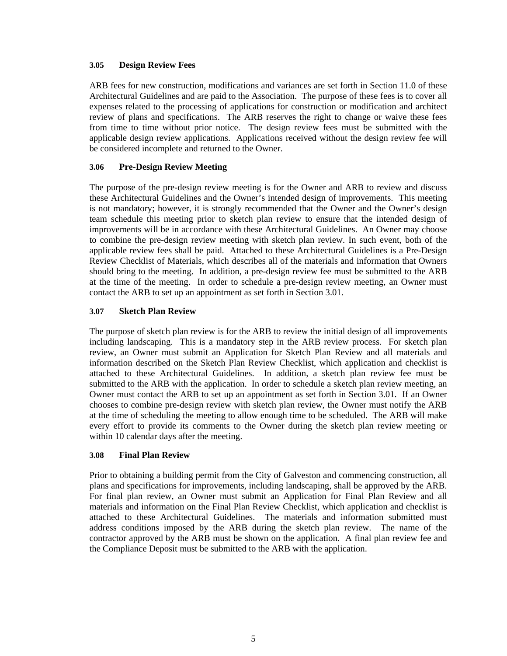#### <span id="page-7-0"></span>**3.05 Design Review Fees**

ARB fees for new construction, modifications and variances are set forth in Section 11.0 of these Architectural Guidelines and are paid to the Association. The purpose of these fees is to cover all expenses related to the processing of applications for construction or modification and architect review of plans and specifications. The ARB reserves the right to change or waive these fees from time to time without prior notice. The design review fees must be submitted with the applicable design review applications. Applications received without the design review fee will be considered incomplete and returned to the Owner.

#### **3.06 Pre-Design Review Meeting**

The purpose of the pre-design review meeting is for the Owner and ARB to review and discuss these Architectural Guidelines and the Owner's intended design of improvements. This meeting is not mandatory; however, it is strongly recommended that the Owner and the Owner's design team schedule this meeting prior to sketch plan review to ensure that the intended design of improvements will be in accordance with these Architectural Guidelines. An Owner may choose to combine the pre-design review meeting with sketch plan review. In such event, both of the applicable review fees shall be paid. Attached to these Architectural Guidelines is a Pre-Design Review Checklist of Materials, which describes all of the materials and information that Owners should bring to the meeting. In addition, a pre-design review fee must be submitted to the ARB at the time of the meeting. In order to schedule a pre-design review meeting, an Owner must contact the ARB to set up an appointment as set forth in Section 3.01.

#### **3.07 Sketch Plan Review**

The purpose of sketch plan review is for the ARB to review the initial design of all improvements including landscaping. This is a mandatory step in the ARB review process. For sketch plan review, an Owner must submit an Application for Sketch Plan Review and all materials and information described on the Sketch Plan Review Checklist, which application and checklist is attached to these Architectural Guidelines. In addition, a sketch plan review fee must be submitted to the ARB with the application. In order to schedule a sketch plan review meeting, an Owner must contact the ARB to set up an appointment as set forth in Section 3.01. If an Owner chooses to combine pre-design review with sketch plan review, the Owner must notify the ARB at the time of scheduling the meeting to allow enough time to be scheduled. The ARB will make every effort to provide its comments to the Owner during the sketch plan review meeting or within 10 calendar days after the meeting.

#### **3.08 Final Plan Review**

Prior to obtaining a building permit from the City of Galveston and commencing construction, all plans and specifications for improvements, including landscaping, shall be approved by the ARB. For final plan review, an Owner must submit an Application for Final Plan Review and all materials and information on the Final Plan Review Checklist, which application and checklist is attached to these Architectural Guidelines. The materials and information submitted must address conditions imposed by the ARB during the sketch plan review. The name of the contractor approved by the ARB must be shown on the application. A final plan review fee and the Compliance Deposit must be submitted to the ARB with the application.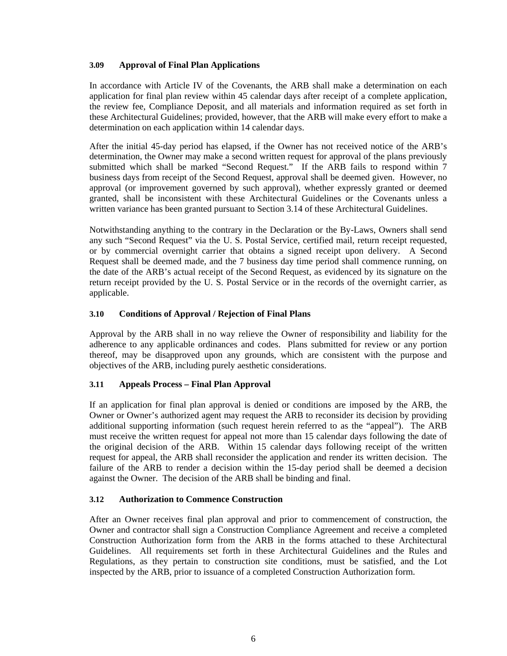#### <span id="page-8-0"></span>**3.09 Approval of Final Plan Applications**

In accordance with Article IV of the Covenants, the ARB shall make a determination on each application for final plan review within 45 calendar days after receipt of a complete application, the review fee, Compliance Deposit, and all materials and information required as set forth in these Architectural Guidelines; provided, however, that the ARB will make every effort to make a determination on each application within 14 calendar days.

After the initial 45-day period has elapsed, if the Owner has not received notice of the ARB's determination, the Owner may make a second written request for approval of the plans previously submitted which shall be marked "Second Request." If the ARB fails to respond within 7 business days from receipt of the Second Request, approval shall be deemed given. However, no approval (or improvement governed by such approval), whether expressly granted or deemed granted, shall be inconsistent with these Architectural Guidelines or the Covenants unless a written variance has been granted pursuant to Section 3.14 of these Architectural Guidelines.

Notwithstanding anything to the contrary in the Declaration or the By-Laws, Owners shall send any such "Second Request" via the U. S. Postal Service, certified mail, return receipt requested, or by commercial overnight carrier that obtains a signed receipt upon delivery. A Second Request shall be deemed made, and the 7 business day time period shall commence running, on the date of the ARB's actual receipt of the Second Request, as evidenced by its signature on the return receipt provided by the U. S. Postal Service or in the records of the overnight carrier, as applicable.

#### **3.10 Conditions of Approval / Rejection of Final Plans**

Approval by the ARB shall in no way relieve the Owner of responsibility and liability for the adherence to any applicable ordinances and codes. Plans submitted for review or any portion thereof, may be disapproved upon any grounds, which are consistent with the purpose and objectives of the ARB, including purely aesthetic considerations.

#### **3.11 Appeals Process – Final Plan Approval**

If an application for final plan approval is denied or conditions are imposed by the ARB, the Owner or Owner's authorized agent may request the ARB to reconsider its decision by providing additional supporting information (such request herein referred to as the "appeal"). The ARB must receive the written request for appeal not more than 15 calendar days following the date of the original decision of the ARB. Within 15 calendar days following receipt of the written request for appeal, the ARB shall reconsider the application and render its written decision. The failure of the ARB to render a decision within the 15-day period shall be deemed a decision against the Owner. The decision of the ARB shall be binding and final.

#### **3.12 Authorization to Commence Construction**

After an Owner receives final plan approval and prior to commencement of construction, the Owner and contractor shall sign a Construction Compliance Agreement and receive a completed Construction Authorization form from the ARB in the forms attached to these Architectural Guidelines. All requirements set forth in these Architectural Guidelines and the Rules and Regulations, as they pertain to construction site conditions, must be satisfied, and the Lot inspected by the ARB, prior to issuance of a completed Construction Authorization form.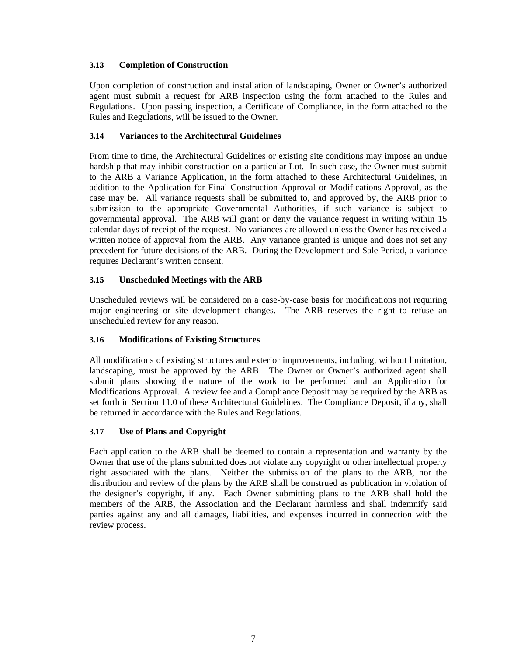#### <span id="page-9-0"></span>**3.13 Completion of Construction**

Upon completion of construction and installation of landscaping, Owner or Owner's authorized agent must submit a request for ARB inspection using the form attached to the Rules and Regulations. Upon passing inspection, a Certificate of Compliance, in the form attached to the Rules and Regulations, will be issued to the Owner.

#### **3.14 Variances to the Architectural Guidelines**

From time to time, the Architectural Guidelines or existing site conditions may impose an undue hardship that may inhibit construction on a particular Lot. In such case, the Owner must submit to the ARB a Variance Application, in the form attached to these Architectural Guidelines, in addition to the Application for Final Construction Approval or Modifications Approval, as the case may be. All variance requests shall be submitted to, and approved by, the ARB prior to submission to the appropriate Governmental Authorities, if such variance is subject to governmental approval. The ARB will grant or deny the variance request in writing within 15 calendar days of receipt of the request. No variances are allowed unless the Owner has received a written notice of approval from the ARB. Any variance granted is unique and does not set any precedent for future decisions of the ARB. During the Development and Sale Period, a variance requires Declarant's written consent.

# **3.15 Unscheduled Meetings with the ARB**

Unscheduled reviews will be considered on a case-by-case basis for modifications not requiring major engineering or site development changes. The ARB reserves the right to refuse an unscheduled review for any reason.

# **3.16 Modifications of Existing Structures**

All modifications of existing structures and exterior improvements, including, without limitation, landscaping, must be approved by the ARB. The Owner or Owner's authorized agent shall submit plans showing the nature of the work to be performed and an Application for Modifications Approval. A review fee and a Compliance Deposit may be required by the ARB as set forth in Section 11.0 of these Architectural Guidelines. The Compliance Deposit, if any, shall be returned in accordance with the Rules and Regulations.

# **3.17 Use of Plans and Copyright**

Each application to the ARB shall be deemed to contain a representation and warranty by the Owner that use of the plans submitted does not violate any copyright or other intellectual property right associated with the plans. Neither the submission of the plans to the ARB, nor the distribution and review of the plans by the ARB shall be construed as publication in violation of the designer's copyright, if any. Each Owner submitting plans to the ARB shall hold the members of the ARB, the Association and the Declarant harmless and shall indemnify said parties against any and all damages, liabilities, and expenses incurred in connection with the review process.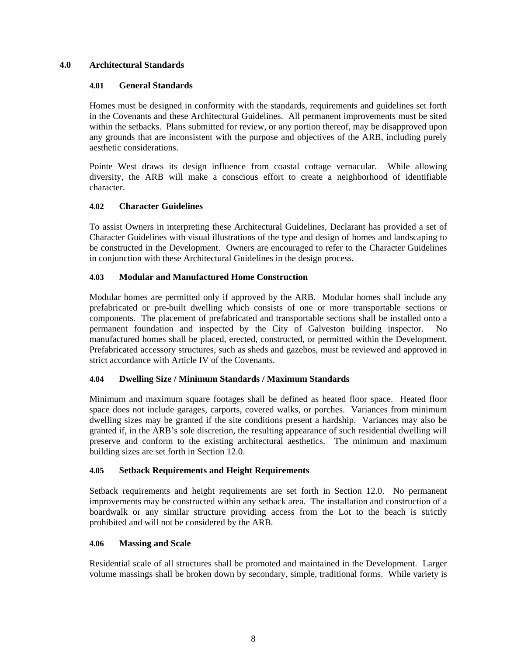#### <span id="page-10-0"></span>**4.0 Architectural Standards**

#### **4.01 General Standards**

Homes must be designed in conformity with the standards, requirements and guidelines set forth in the Covenants and these Architectural Guidelines. All permanent improvements must be sited within the setbacks. Plans submitted for review, or any portion thereof, may be disapproved upon any grounds that are inconsistent with the purpose and objectives of the ARB, including purely aesthetic considerations.

Pointe West draws its design influence from coastal cottage vernacular. While allowing diversity, the ARB will make a conscious effort to create a neighborhood of identifiable character.

#### **4.02 Character Guidelines**

To assist Owners in interpreting these Architectural Guidelines, Declarant has provided a set of Character Guidelines with visual illustrations of the type and design of homes and landscaping to be constructed in the Development. Owners are encouraged to refer to the Character Guidelines in conjunction with these Architectural Guidelines in the design process.

#### **4.03 Modular and Manufactured Home Construction**

Modular homes are permitted only if approved by the ARB. Modular homes shall include any prefabricated or pre-built dwelling which consists of one or more transportable sections or components. The placement of prefabricated and transportable sections shall be installed onto a permanent foundation and inspected by the City of Galveston building inspector. No manufactured homes shall be placed, erected, constructed, or permitted within the Development. Prefabricated accessory structures, such as sheds and gazebos, must be reviewed and approved in strict accordance with Article IV of the Covenants.

# **4.04 Dwelling Size / Minimum Standards / Maximum Standards**

Minimum and maximum square footages shall be defined as heated floor space. Heated floor space does not include garages, carports, covered walks, or porches. Variances from minimum dwelling sizes may be granted if the site conditions present a hardship. Variances may also be granted if, in the ARB's sole discretion, the resulting appearance of such residential dwelling will preserve and conform to the existing architectural aesthetics. The minimum and maximum building sizes are set forth in Section 12.0.

#### **4.05 Setback Requirements and Height Requirements**

 Setback requirements and height requirements are set forth in Section 12.0. No permanent improvements may be constructed within any setback area. The installation and construction of a boardwalk or any similar structure providing access from the Lot to the beach is strictly prohibited and will not be considered by the ARB.

#### **4.06 Massing and Scale**

Residential scale of all structures shall be promoted and maintained in the Development. Larger volume massings shall be broken down by secondary, simple, traditional forms. While variety is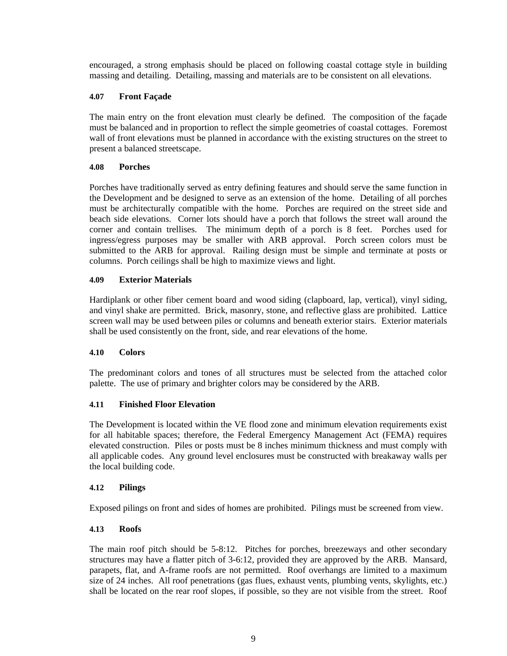<span id="page-11-0"></span>encouraged, a strong emphasis should be placed on following coastal cottage style in building massing and detailing. Detailing, massing and materials are to be consistent on all elevations.

#### **4.07 Front Façade**

The main entry on the front elevation must clearly be defined. The composition of the façade must be balanced and in proportion to reflect the simple geometries of coastal cottages. Foremost wall of front elevations must be planned in accordance with the existing structures on the street to present a balanced streetscape.

#### **4.08 Porches**

Porches have traditionally served as entry defining features and should serve the same function in the Development and be designed to serve as an extension of the home. Detailing of all porches must be architecturally compatible with the home. Porches are required on the street side and beach side elevations. Corner lots should have a porch that follows the street wall around the corner and contain trellises. The minimum depth of a porch is 8 feet. Porches used for ingress/egress purposes may be smaller with ARB approval. Porch screen colors must be submitted to the ARB for approval. Railing design must be simple and terminate at posts or columns. Porch ceilings shall be high to maximize views and light.

#### **4.09 Exterior Materials**

Hardiplank or other fiber cement board and wood siding (clapboard, lap, vertical), vinyl siding, and vinyl shake are permitted. Brick, masonry, stone, and reflective glass are prohibited. Lattice screen wall may be used between piles or columns and beneath exterior stairs. Exterior materials shall be used consistently on the front, side, and rear elevations of the home.

#### **4.10 Colors**

The predominant colors and tones of all structures must be selected from the attached color palette. The use of primary and brighter colors may be considered by the ARB.

#### **4.11 Finished Floor Elevation**

The Development is located within the VE flood zone and minimum elevation requirements exist for all habitable spaces; therefore, the Federal Emergency Management Act (FEMA) requires elevated construction. Piles or posts must be 8 inches minimum thickness and must comply with all applicable codes. Any ground level enclosures must be constructed with breakaway walls per the local building code.

#### **4.12 Pilings**

Exposed pilings on front and sides of homes are prohibited. Pilings must be screened from view.

#### **4.13 Roofs**

The main roof pitch should be 5-8:12. Pitches for porches, breezeways and other secondary structures may have a flatter pitch of 3-6:12, provided they are approved by the ARB. Mansard, parapets, flat, and A-frame roofs are not permitted. Roof overhangs are limited to a maximum size of 24 inches. All roof penetrations (gas flues, exhaust vents, plumbing vents, skylights, etc.) shall be located on the rear roof slopes, if possible, so they are not visible from the street. Roof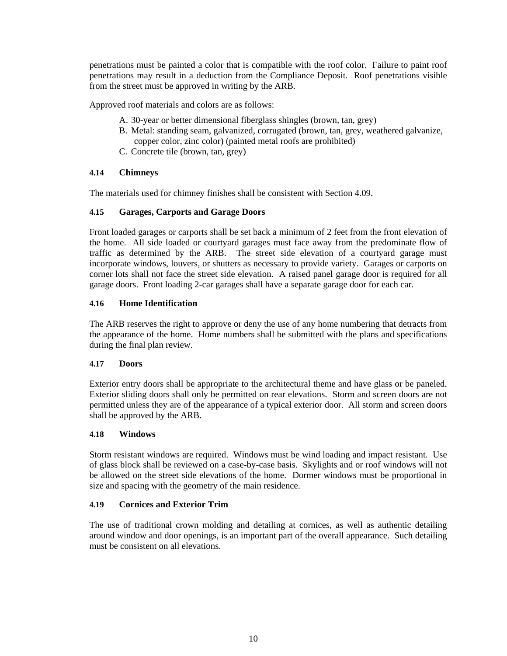<span id="page-12-0"></span>penetrations must be painted a color that is compatible with the roof color. Failure to paint roof penetrations may result in a deduction from the Compliance Deposit. Roof penetrations visible from the street must be approved in writing by the ARB.

Approved roof materials and colors are as follows:

- A. 30-year or better dimensional fiberglass shingles (brown, tan, grey)
- B. Metal: standing seam, galvanized, corrugated (brown, tan, grey, weathered galvanize, copper color, zinc color) (painted metal roofs are prohibited)
- C. Concrete tile (brown, tan, grey)

#### **4.14 Chimneys**

The materials used for chimney finishes shall be consistent with Section 4.09.

# **4.15 Garages, Carports and Garage Doors**

Front loaded garages or carports shall be set back a minimum of 2 feet from the front elevation of the home. All side loaded or courtyard garages must face away from the predominate flow of traffic as determined by the ARB. The street side elevation of a courtyard garage must incorporate windows, louvers, or shutters as necessary to provide variety. Garages or carports on corner lots shall not face the street side elevation. A raised panel garage door is required for all garage doors. Front loading 2-car garages shall have a separate garage door for each car.

#### **4.16 Home Identification**

The ARB reserves the right to approve or deny the use of any home numbering that detracts from the appearance of the home. Home numbers shall be submitted with the plans and specifications during the final plan review.

#### **4.17 Doors**

Exterior entry doors shall be appropriate to the architectural theme and have glass or be paneled. Exterior sliding doors shall only be permitted on rear elevations. Storm and screen doors are not permitted unless they are of the appearance of a typical exterior door. All storm and screen doors shall be approved by the ARB.

#### **4.18 Windows**

Storm resistant windows are required. Windows must be wind loading and impact resistant. Use of glass block shall be reviewed on a case-by-case basis. Skylights and or roof windows will not be allowed on the street side elevations of the home. Dormer windows must be proportional in size and spacing with the geometry of the main residence.

#### **4.19 Cornices and Exterior Trim**

The use of traditional crown molding and detailing at cornices, as well as authentic detailing around window and door openings, is an important part of the overall appearance. Such detailing must be consistent on all elevations.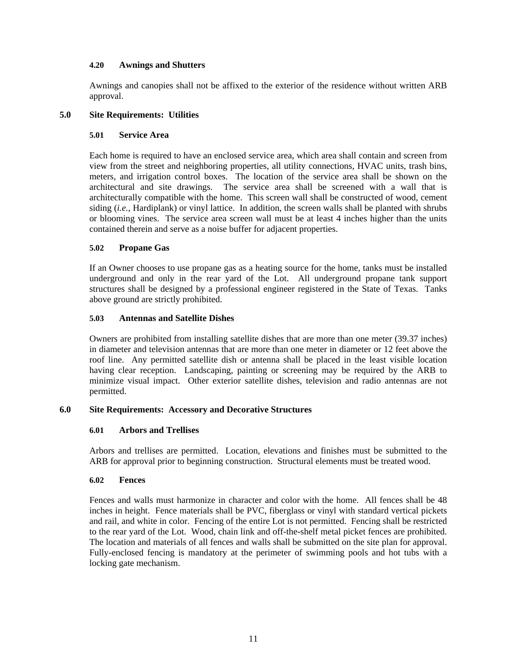#### <span id="page-13-0"></span>**4.20 Awnings and Shutters**

Awnings and canopies shall not be affixed to the exterior of the residence without written ARB approval.

#### **5.0 Site Requirements: Utilities**

#### **5.01 Service Area**

Each home is required to have an enclosed service area, which area shall contain and screen from view from the street and neighboring properties, all utility connections, HVAC units, trash bins, meters, and irrigation control boxes. The location of the service area shall be shown on the architectural and site drawings. The service area shall be screened with a wall that is architecturally compatible with the home. This screen wall shall be constructed of wood, cement siding (*i.e.*, Hardiplank) or vinyl lattice. In addition, the screen walls shall be planted with shrubs or blooming vines. The service area screen wall must be at least 4 inches higher than the units contained therein and serve as a noise buffer for adjacent properties.

#### **5.02 Propane Gas**

If an Owner chooses to use propane gas as a heating source for the home, tanks must be installed underground and only in the rear yard of the Lot. All underground propane tank support structures shall be designed by a professional engineer registered in the State of Texas. Tanks above ground are strictly prohibited.

#### **5.03 Antennas and Satellite Dishes**

Owners are prohibited from installing satellite dishes that are more than one meter (39.37 inches) in diameter and television antennas that are more than one meter in diameter or 12 feet above the roof line. Any permitted satellite dish or antenna shall be placed in the least visible location having clear reception. Landscaping, painting or screening may be required by the ARB to minimize visual impact. Other exterior satellite dishes, television and radio antennas are not permitted.

#### **6.0 Site Requirements: Accessory and Decorative Structures**

#### **6.01 Arbors and Trellises**

Arbors and trellises are permitted. Location, elevations and finishes must be submitted to the ARB for approval prior to beginning construction. Structural elements must be treated wood.

#### **6.02 Fences**

Fences and walls must harmonize in character and color with the home. All fences shall be 48 inches in height. Fence materials shall be PVC, fiberglass or vinyl with standard vertical pickets and rail, and white in color. Fencing of the entire Lot is not permitted. Fencing shall be restricted to the rear yard of the Lot. Wood, chain link and off-the-shelf metal picket fences are prohibited. The location and materials of all fences and walls shall be submitted on the site plan for approval. Fully-enclosed fencing is mandatory at the perimeter of swimming pools and hot tubs with a locking gate mechanism.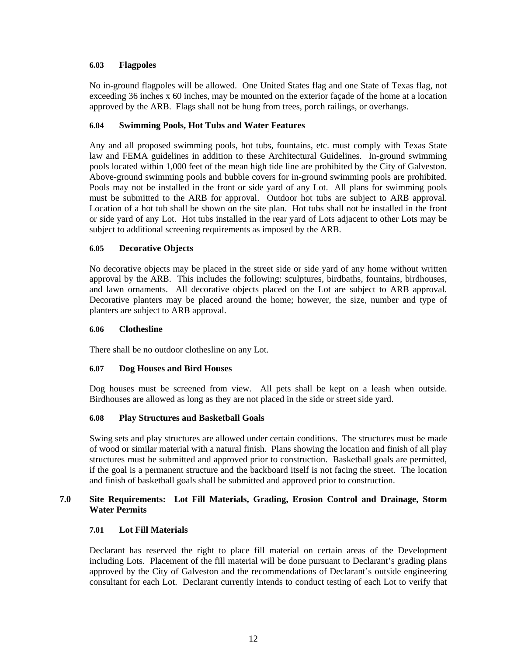#### <span id="page-14-0"></span>**6.03 Flagpoles**

No in-ground flagpoles will be allowed. One United States flag and one State of Texas flag, not exceeding 36 inches x 60 inches, may be mounted on the exterior façade of the home at a location approved by the ARB. Flags shall not be hung from trees, porch railings, or overhangs.

#### **6.04 Swimming Pools, Hot Tubs and Water Features**

Any and all proposed swimming pools, hot tubs, fountains, etc. must comply with Texas State law and FEMA guidelines in addition to these Architectural Guidelines. In-ground swimming pools located within 1,000 feet of the mean high tide line are prohibited by the City of Galveston. Above-ground swimming pools and bubble covers for in-ground swimming pools are prohibited. Pools may not be installed in the front or side yard of any Lot. All plans for swimming pools must be submitted to the ARB for approval. Outdoor hot tubs are subject to ARB approval. Location of a hot tub shall be shown on the site plan. Hot tubs shall not be installed in the front or side yard of any Lot. Hot tubs installed in the rear yard of Lots adjacent to other Lots may be subject to additional screening requirements as imposed by the ARB.

#### **6.05 Decorative Objects**

No decorative objects may be placed in the street side or side yard of any home without written approval by the ARB. This includes the following: sculptures, birdbaths, fountains, birdhouses, and lawn ornaments. All decorative objects placed on the Lot are subject to ARB approval. Decorative planters may be placed around the home; however, the size, number and type of planters are subject to ARB approval.

#### **6.06 Clothesline**

There shall be no outdoor clothesline on any Lot.

#### **6.07 Dog Houses and Bird Houses**

Dog houses must be screened from view. All pets shall be kept on a leash when outside. Birdhouses are allowed as long as they are not placed in the side or street side yard.

#### **6.08 Play Structures and Basketball Goals**

Swing sets and play structures are allowed under certain conditions. The structures must be made of wood or similar material with a natural finish. Plans showing the location and finish of all play structures must be submitted and approved prior to construction. Basketball goals are permitted, if the goal is a permanent structure and the backboard itself is not facing the street. The location and finish of basketball goals shall be submitted and approved prior to construction.

#### **7.0 Site Requirements: Lot Fill Materials, Grading, Erosion Control and Drainage, Storm Water Permits**

#### **7.01 Lot Fill Materials**

Declarant has reserved the right to place fill material on certain areas of the Development including Lots. Placement of the fill material will be done pursuant to Declarant's grading plans approved by the City of Galveston and the recommendations of Declarant's outside engineering consultant for each Lot. Declarant currently intends to conduct testing of each Lot to verify that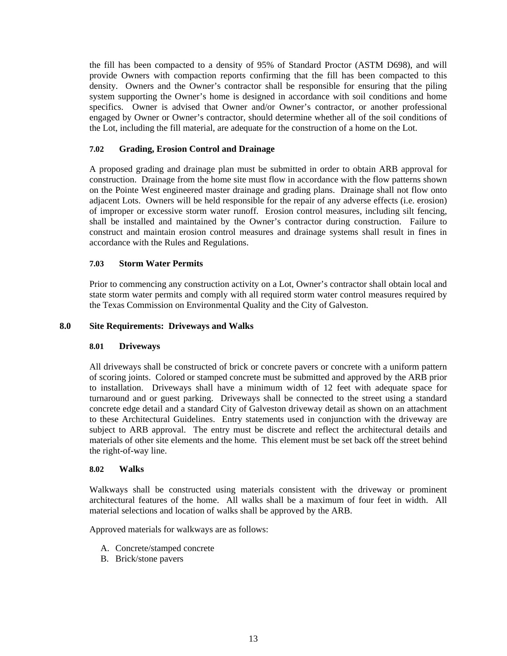<span id="page-15-0"></span>the fill has been compacted to a density of 95% of Standard Proctor (ASTM D698), and will provide Owners with compaction reports confirming that the fill has been compacted to this density. Owners and the Owner's contractor shall be responsible for ensuring that the piling system supporting the Owner's home is designed in accordance with soil conditions and home specifics. Owner is advised that Owner and/or Owner's contractor, or another professional engaged by Owner or Owner's contractor, should determine whether all of the soil conditions of the Lot, including the fill material, are adequate for the construction of a home on the Lot.

#### **7.02 Grading, Erosion Control and Drainage**

A proposed grading and drainage plan must be submitted in order to obtain ARB approval for construction. Drainage from the home site must flow in accordance with the flow patterns shown on the Pointe West engineered master drainage and grading plans. Drainage shall not flow onto adjacent Lots. Owners will be held responsible for the repair of any adverse effects (i.e. erosion) of improper or excessive storm water runoff. Erosion control measures, including silt fencing, shall be installed and maintained by the Owner's contractor during construction. Failure to construct and maintain erosion control measures and drainage systems shall result in fines in accordance with the Rules and Regulations.

#### **7.03 Storm Water Permits**

Prior to commencing any construction activity on a Lot, Owner's contractor shall obtain local and state storm water permits and comply with all required storm water control measures required by the Texas Commission on Environmental Quality and the City of Galveston.

#### **8.0 Site Requirements: Driveways and Walks**

#### **8.01 Driveways**

All driveways shall be constructed of brick or concrete pavers or concrete with a uniform pattern of scoring joints. Colored or stamped concrete must be submitted and approved by the ARB prior to installation. Driveways shall have a minimum width of 12 feet with adequate space for turnaround and or guest parking. Driveways shall be connected to the street using a standard concrete edge detail and a standard City of Galveston driveway detail as shown on an attachment to these Architectural Guidelines. Entry statements used in conjunction with the driveway are subject to ARB approval. The entry must be discrete and reflect the architectural details and materials of other site elements and the home. This element must be set back off the street behind the right-of-way line.

#### **8.02 Walks**

Walkways shall be constructed using materials consistent with the driveway or prominent architectural features of the home. All walks shall be a maximum of four feet in width. All material selections and location of walks shall be approved by the ARB.

Approved materials for walkways are as follows:

- A. Concrete/stamped concrete
- B. Brick/stone pavers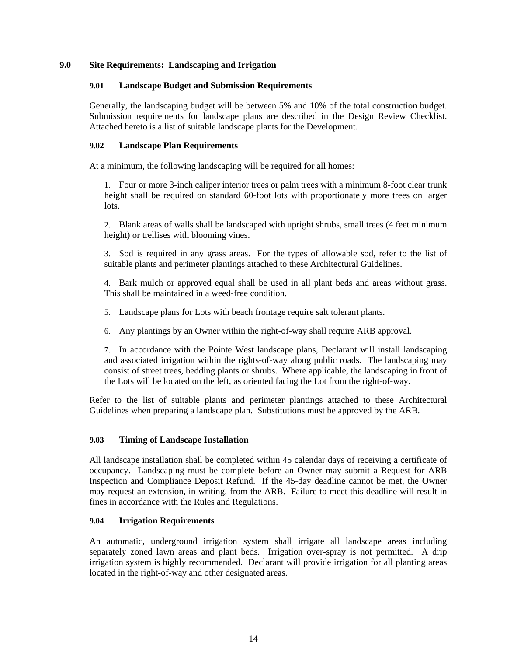#### <span id="page-16-0"></span>**9.0 Site Requirements: Landscaping and Irrigation**

#### **9.01 Landscape Budget and Submission Requirements**

Generally, the landscaping budget will be between 5% and 10% of the total construction budget. Submission requirements for landscape plans are described in the Design Review Checklist. Attached hereto is a list of suitable landscape plants for the Development.

#### **9.02 Landscape Plan Requirements**

At a minimum, the following landscaping will be required for all homes:

1. Four or more 3-inch caliper interior trees or palm trees with a minimum 8-foot clear trunk height shall be required on standard 60-foot lots with proportionately more trees on larger lots.

2. Blank areas of walls shall be landscaped with upright shrubs, small trees (4 feet minimum height) or trellises with blooming vines.

3. Sod is required in any grass areas. For the types of allowable sod, refer to the list of suitable plants and perimeter plantings attached to these Architectural Guidelines.

4. Bark mulch or approved equal shall be used in all plant beds and areas without grass. This shall be maintained in a weed-free condition.

- 5. Landscape plans for Lots with beach frontage require salt tolerant plants.
- 6. Any plantings by an Owner within the right-of-way shall require ARB approval.

7. In accordance with the Pointe West landscape plans, Declarant will install landscaping and associated irrigation within the rights-of-way along public roads. The landscaping may consist of street trees, bedding plants or shrubs. Where applicable, the landscaping in front of the Lots will be located on the left, as oriented facing the Lot from the right-of-way.

Refer to the list of suitable plants and perimeter plantings attached to these Architectural Guidelines when preparing a landscape plan. Substitutions must be approved by the ARB.

#### **9.03 Timing of Landscape Installation**

All landscape installation shall be completed within 45 calendar days of receiving a certificate of occupancy. Landscaping must be complete before an Owner may submit a Request for ARB Inspection and Compliance Deposit Refund. If the 45-day deadline cannot be met, the Owner may request an extension, in writing, from the ARB. Failure to meet this deadline will result in fines in accordance with the Rules and Regulations.

#### **9.04 Irrigation Requirements**

An automatic, underground irrigation system shall irrigate all landscape areas including separately zoned lawn areas and plant beds. Irrigation over-spray is not permitted. A drip irrigation system is highly recommended. Declarant will provide irrigation for all planting areas located in the right-of-way and other designated areas.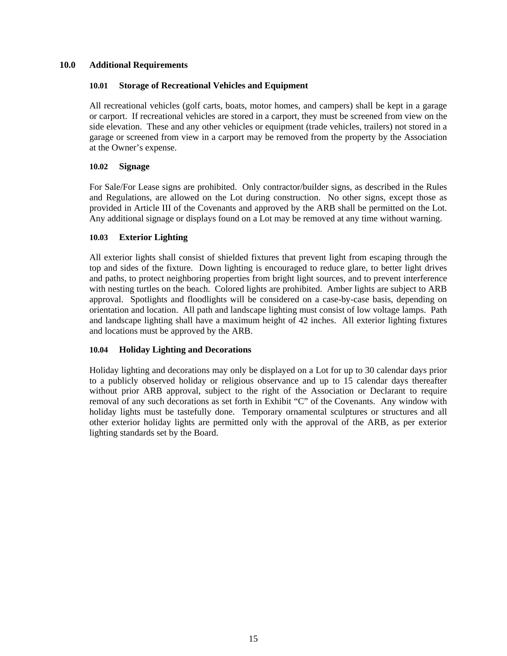#### <span id="page-17-0"></span>**10.0 Additional Requirements**

#### **10.01 Storage of Recreational Vehicles and Equipment**

All recreational vehicles (golf carts, boats, motor homes, and campers) shall be kept in a garage or carport. If recreational vehicles are stored in a carport, they must be screened from view on the side elevation. These and any other vehicles or equipment (trade vehicles, trailers) not stored in a garage or screened from view in a carport may be removed from the property by the Association at the Owner's expense.

#### **10.02 Signage**

For Sale/For Lease signs are prohibited. Only contractor/builder signs, as described in the Rules and Regulations, are allowed on the Lot during construction. No other signs, except those as provided in Article III of the Covenants and approved by the ARB shall be permitted on the Lot. Any additional signage or displays found on a Lot may be removed at any time without warning.

#### **10.03 Exterior Lighting**

All exterior lights shall consist of shielded fixtures that prevent light from escaping through the top and sides of the fixture. Down lighting is encouraged to reduce glare, to better light drives and paths, to protect neighboring properties from bright light sources, and to prevent interference with nesting turtles on the beach. Colored lights are prohibited. Amber lights are subject to ARB approval. Spotlights and floodlights will be considered on a case-by-case basis, depending on orientation and location. All path and landscape lighting must consist of low voltage lamps. Path and landscape lighting shall have a maximum height of 42 inches. All exterior lighting fixtures and locations must be approved by the ARB.

#### **10.04 Holiday Lighting and Decorations**

Holiday lighting and decorations may only be displayed on a Lot for up to 30 calendar days prior to a publicly observed holiday or religious observance and up to 15 calendar days thereafter without prior ARB approval, subject to the right of the Association or Declarant to require removal of any such decorations as set forth in Exhibit "C" of the Covenants. Any window with holiday lights must be tastefully done. Temporary ornamental sculptures or structures and all other exterior holiday lights are permitted only with the approval of the ARB, as per exterior lighting standards set by the Board.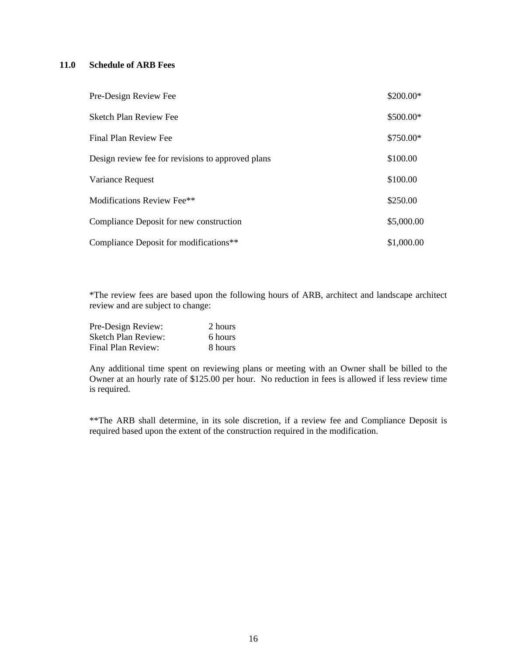#### <span id="page-18-0"></span>**11.0 Schedule of ARB Fees**

| Pre-Design Review Fee                             | \$200.00*  |
|---------------------------------------------------|------------|
| <b>Sketch Plan Review Fee</b>                     | \$500.00*  |
| Final Plan Review Fee                             | \$750.00*  |
| Design review fee for revisions to approved plans | \$100.00   |
| Variance Request                                  | \$100.00   |
| Modifications Review Fee**                        | \$250.00   |
| Compliance Deposit for new construction           | \$5,000.00 |
| Compliance Deposit for modifications**            | \$1,000.00 |

 \*The review fees are based upon the following hours of ARB, architect and landscape architect review and are subject to change:

| Pre-Design Review:         | 2 hours |
|----------------------------|---------|
| <b>Sketch Plan Review:</b> | 6 hours |
| Final Plan Review:         | 8 hours |

Any additional time spent on reviewing plans or meeting with an Owner shall be billed to the Owner at an hourly rate of \$125.00 per hour. No reduction in fees is allowed if less review time is required.

 \*\*The ARB shall determine, in its sole discretion, if a review fee and Compliance Deposit is required based upon the extent of the construction required in the modification.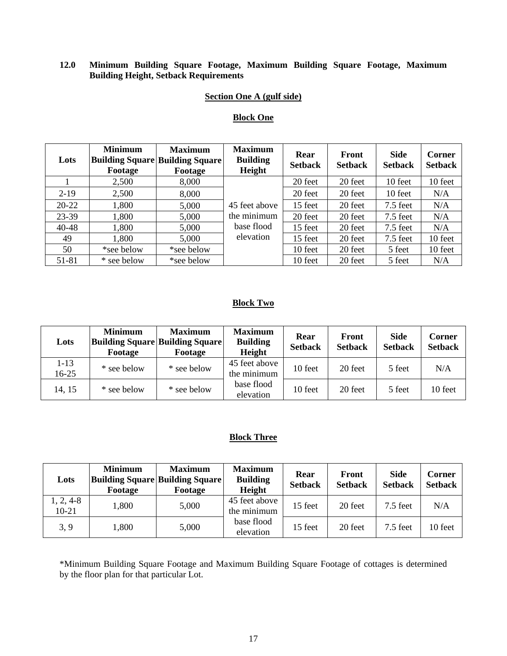#### <span id="page-19-0"></span>**12.0 Minimum Building Square Footage, Maximum Building Square Footage, Maximum Building Height, Setback Requirements**

# **Section One A (gulf side)**

#### **Block One**

| Lots      | <b>Minimum</b><br>Footage | <b>Maximum</b><br><b>Building Square Building Square</b><br>Footage | <b>Maximum</b><br><b>Building</b><br>Height | Rear<br><b>Setback</b> | Front<br><b>Setback</b> | <b>Side</b><br><b>Setback</b> | Corner<br><b>Setback</b> |
|-----------|---------------------------|---------------------------------------------------------------------|---------------------------------------------|------------------------|-------------------------|-------------------------------|--------------------------|
|           | 2,500                     | 8,000                                                               |                                             | 20 feet                | 20 feet                 | 10 feet                       | 10 feet                  |
| $2 - 19$  | 2,500                     | 8,000                                                               |                                             | 20 feet                | 20 feet                 | 10 feet                       | N/A                      |
| $20 - 22$ | 1,800                     | 5,000                                                               | 45 feet above                               | 15 feet                | 20 feet                 | $7.5$ feet                    | N/A                      |
| 23-39     | 1,800                     | 5,000                                                               | the minimum                                 | 20 feet                | 20 feet                 | $7.5$ feet                    | N/A                      |
| 40-48     | 1,800                     | 5,000                                                               | base flood                                  | 15 feet                | 20 feet                 | $7.5$ feet                    | N/A                      |
| 49        | 1,800                     | 5,000                                                               | elevation                                   | 15 feet                | 20 feet                 | $7.5$ feet                    | 10 feet                  |
| 50        | *see below                | *see below                                                          |                                             | 10 feet                | 20 feet                 | 5 feet                        | 10 feet                  |
| 51-81     | * see below               | *see below                                                          |                                             | 10 feet                | 20 feet                 | 5 feet                        | N/A                      |

#### **Block Two**

| Lots            | <b>Minimum</b><br>Footage | <b>Maximum</b><br><b>Building Square Building Square</b><br>Footage | <b>Maximum</b><br><b>Building</b><br>Height | Rear<br><b>Setback</b> | <b>Front</b><br><b>Setback</b> | <b>Side</b><br><b>Setback</b> | Corner<br><b>Setback</b> |
|-----------------|---------------------------|---------------------------------------------------------------------|---------------------------------------------|------------------------|--------------------------------|-------------------------------|--------------------------|
| $1-13$<br>16-25 | * see below               | * see below                                                         | 45 feet above<br>the minimum                | 10 feet                | 20 feet                        | 5 feet                        | N/A                      |
| 14, 15          | * see below               | * see below                                                         | base flood<br>elevation                     | 10 feet                | 20 feet                        | 5 feet                        | 10 feet                  |

#### **Block Three**

| Lots                   | <b>Minimum</b><br>Footage | <b>Maximum</b><br><b>Building Square Building Square</b><br>Footage | <b>Maximum</b><br><b>Building</b><br>Height | Rear<br><b>Setback</b> | Front<br><b>Setback</b> | <b>Side</b><br><b>Setback</b> | Corner<br><b>Setback</b> |
|------------------------|---------------------------|---------------------------------------------------------------------|---------------------------------------------|------------------------|-------------------------|-------------------------------|--------------------------|
| $1, 2, 4-8$<br>$10-21$ | 1,800                     | 5,000                                                               | 45 feet above<br>the minimum                | 15 feet                | 20 feet                 | $7.5$ feet                    | N/A                      |
| 3, 9                   | 1,800                     | 5,000                                                               | base flood<br>elevation                     | 15 feet                | 20 feet                 | $7.5$ feet                    | 10 feet                  |

\*Minimum Building Square Footage and Maximum Building Square Footage of cottages is determined by the floor plan for that particular Lot.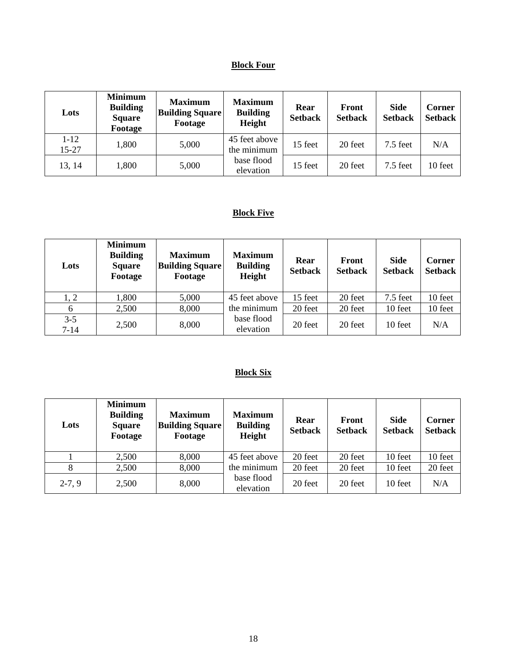# **Block Four**

| Lots                  | <b>Minimum</b><br><b>Building</b><br><b>Square</b><br>Footage | <b>Maximum</b><br><b>Building Square</b><br>Footage | <b>Maximum</b><br><b>Building</b><br>Height | Rear<br><b>Setback</b> | Front<br><b>Setback</b> | <b>Side</b><br><b>Setback</b> | Corner<br><b>Setback</b> |
|-----------------------|---------------------------------------------------------------|-----------------------------------------------------|---------------------------------------------|------------------------|-------------------------|-------------------------------|--------------------------|
| $1 - 12$<br>$15 - 27$ | 1,800                                                         | 5,000                                               | 45 feet above<br>the minimum                | 15 feet                | 20 feet                 | $7.5$ feet                    | N/A                      |
| 13, 14                | 1,800                                                         | 5,000                                               | base flood<br>elevation                     | 15 feet                | 20 feet                 | $7.5$ feet                    | 10 feet                  |

# **Block Five**

| Lots                | <b>Minimum</b><br><b>Building</b><br><b>Square</b><br>Footage | <b>Maximum</b><br><b>Building Square</b><br>Footage | <b>Maximum</b><br><b>Building</b><br>Height | Rear<br><b>Setback</b> | <b>Front</b><br><b>Setback</b> | <b>Side</b><br><b>Setback</b> | Corner<br><b>Setback</b> |
|---------------------|---------------------------------------------------------------|-----------------------------------------------------|---------------------------------------------|------------------------|--------------------------------|-------------------------------|--------------------------|
| 1, 2                | ,800                                                          | 5,000                                               | 45 feet above                               | 15 feet                | 20 feet                        | $7.5$ feet                    | 10 feet                  |
| 6                   | 2,500                                                         | 8,000                                               | the minimum                                 | 20 feet                | 20 feet                        | 10 feet                       | 10 feet                  |
| $3 - 5$<br>$7 - 14$ | 2,500                                                         | 8,000                                               | base flood<br>elevation                     | 20 feet                | 20 feet                        | 10 feet                       | N/A                      |

# **Block Six**

| Lots     | <b>Minimum</b><br><b>Building</b><br><b>Square</b><br>Footage | <b>Maximum</b><br><b>Building Square</b><br>Footage | <b>Maximum</b><br><b>Building</b><br>Height | Rear<br><b>Setback</b> | Front<br><b>Setback</b> | <b>Side</b><br><b>Setback</b> | Corner<br><b>Setback</b> |
|----------|---------------------------------------------------------------|-----------------------------------------------------|---------------------------------------------|------------------------|-------------------------|-------------------------------|--------------------------|
|          | 2,500                                                         | 8,000                                               | 45 feet above                               | 20 feet                | 20 feet                 | 10 feet                       | 10 feet                  |
| 8        | 2,500                                                         | 8,000                                               | the minimum                                 | 20 feet                | 20 feet                 | 10 feet                       | 20 feet                  |
| $2-7, 9$ | 2,500                                                         | 8,000                                               | base flood<br>elevation                     | 20 feet                | 20 feet                 | 10 feet                       | N/A                      |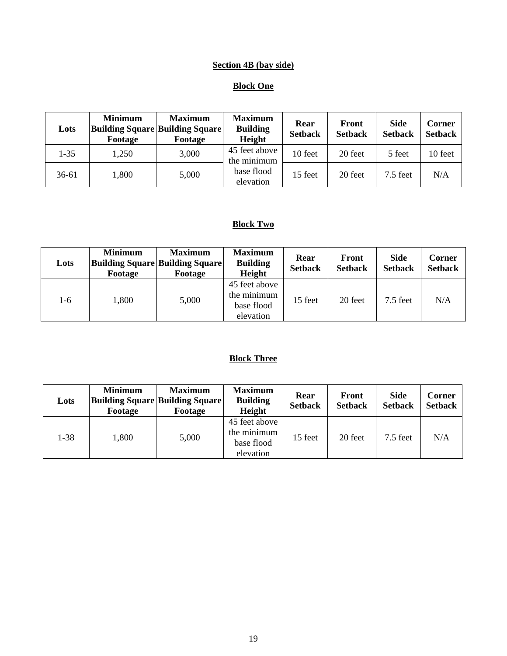# **Section 4B (bay side)**

# **Block One**

| Lots     | <b>Minimum</b><br>Footage | <b>Maximum</b><br><b>Building Square Building Square</b><br>Footage | <b>Maximum</b><br><b>Building</b><br>Height | Rear<br><b>Setback</b> | Front<br><b>Setback</b> | <b>Side</b><br><b>Setback</b> | Corner<br><b>Setback</b> |
|----------|---------------------------|---------------------------------------------------------------------|---------------------------------------------|------------------------|-------------------------|-------------------------------|--------------------------|
| $1 - 35$ | 1,250                     | 3,000                                                               | 45 feet above<br>the minimum                | 10 feet                | 20 feet                 | 5 feet                        | 10 feet                  |
| 36-61    | 1,800                     | 5,000                                                               | base flood<br>elevation                     | 15 feet                | 20 feet                 | $7.5$ feet                    | N/A                      |

# **Block Two**

| Lots | <b>Minimum</b><br>Footage | <b>Maximum</b><br><b>Building Square Building Square</b><br>Footage | <b>Maximum</b><br><b>Building</b><br>Height             | Rear<br><b>Setback</b> | <b>Front</b><br><b>Setback</b> | <b>Side</b><br><b>Setback</b> | Corner<br><b>Setback</b> |
|------|---------------------------|---------------------------------------------------------------------|---------------------------------------------------------|------------------------|--------------------------------|-------------------------------|--------------------------|
| 1-6  | 1,800                     | 5,000                                                               | 45 feet above<br>the minimum<br>base flood<br>elevation | 15 feet                | 20 feet                        | $7.5$ feet                    | N/A                      |

# **Block Three**

| Lots | <b>Minimum</b><br>Footage | <b>Maximum</b><br><b>Building Square Building Square</b><br>Footage | <b>Maximum</b><br><b>Building</b><br>Height             | Rear<br><b>Setback</b> | Front<br><b>Setback</b> | <b>Side</b><br><b>Setback</b> | <b>Corner</b><br><b>Setback</b> |
|------|---------------------------|---------------------------------------------------------------------|---------------------------------------------------------|------------------------|-------------------------|-------------------------------|---------------------------------|
| 1-38 | 1,800                     | 5,000                                                               | 45 feet above<br>the minimum<br>base flood<br>elevation | 15 feet                | 20 feet                 | $7.5$ feet                    | N/A                             |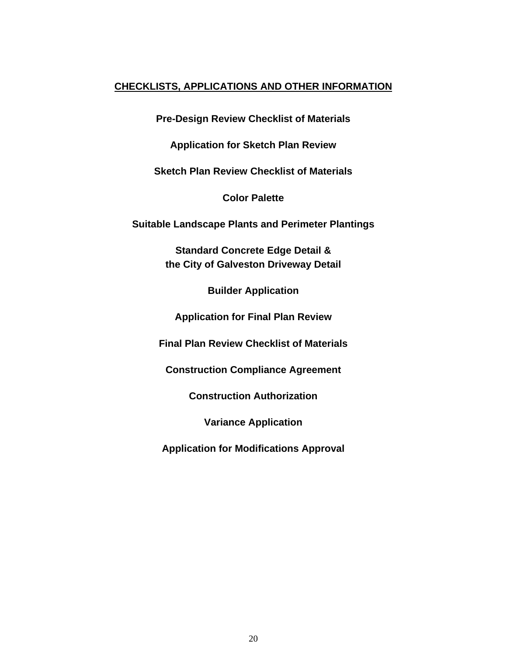# **CHECKLISTS, APPLICATIONS AND OTHER INFORMATION**

**Pre-Design Review Checklist of Materials** 

**Application for Sketch Plan Review** 

**Sketch Plan Review Checklist of Materials** 

**Color Palette** 

**Suitable Landscape Plants and Perimeter Plantings** 

**Standard Concrete Edge Detail & the City of Galveston Driveway Detail** 

**Builder Application** 

**Application for Final Plan Review** 

**Final Plan Review Checklist of Materials** 

**Construction Compliance Agreement** 

**Construction Authorization** 

**Variance Application** 

**Application for Modifications Approval**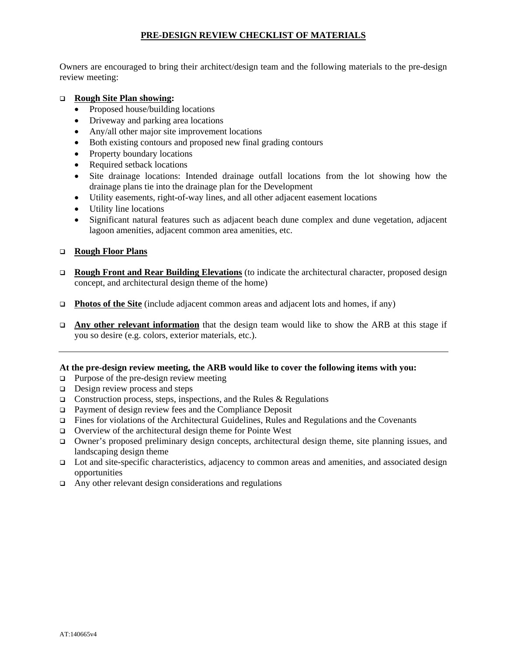# **PRE-DESIGN REVIEW CHECKLIST OF MATERIALS**

Owners are encouraged to bring their architect/design team and the following materials to the pre-design review meeting:

#### **Rough Site Plan showing:**

- Proposed house/building locations
- Driveway and parking area locations
- Any/all other major site improvement locations
- Both existing contours and proposed new final grading contours
- Property boundary locations
- Required setback locations
- Site drainage locations: Intended drainage outfall locations from the lot showing how the drainage plans tie into the drainage plan for the Development
- Utility easements, right-of-way lines, and all other adjacent easement locations
- Utility line locations
- Significant natural features such as adjacent beach dune complex and dune vegetation, adjacent lagoon amenities, adjacent common area amenities, etc.

#### **Rough Floor Plans**

- **Rough Front and Rear Building Elevations** (to indicate the architectural character, proposed design concept, and architectural design theme of the home)
- **Photos of the Site** (include adjacent common areas and adjacent lots and homes, if any)
- **Any other relevant information** that the design team would like to show the ARB at this stage if you so desire (e.g. colors, exterior materials, etc.).

#### **At the pre-design review meeting, the ARB would like to cover the following items with you:**

- $\Box$  Purpose of the pre-design review meeting
- $\Box$  Design review process and steps
- $\Box$  Construction process, steps, inspections, and the Rules & Regulations
- Payment of design review fees and the Compliance Deposit
- $\Box$  Fines for violations of the Architectural Guidelines, Rules and Regulations and the Covenants
- $\Box$  Overview of the architectural design theme for Pointe West
- Owner's proposed preliminary design concepts, architectural design theme, site planning issues, and landscaping design theme
- Lot and site-specific characteristics, adjacency to common areas and amenities, and associated design opportunities
- Any other relevant design considerations and regulations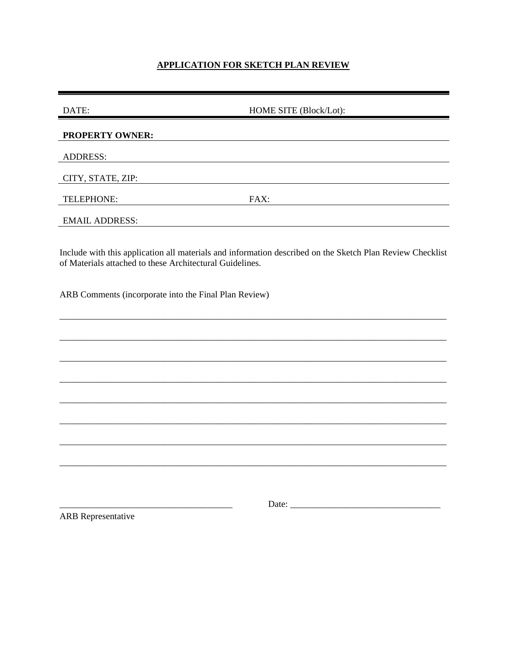#### **APPLICATION FOR SKETCH PLAN REVIEW**

| DATE:                  | HOME SITE (Block/Lot): |  |
|------------------------|------------------------|--|
| <b>PROPERTY OWNER:</b> |                        |  |
| <b>ADDRESS:</b>        |                        |  |
| CITY, STATE, ZIP:      |                        |  |
| TELEPHONE:             | FAX:                   |  |
| <b>EMAIL ADDRESS:</b>  |                        |  |

Include with this application all materials and information described on the Sketch Plan Review Checklist of Materials attached to these Architectural Guidelines.

ARB Comments (incorporate into the Final Plan Review)

**ARB** Representative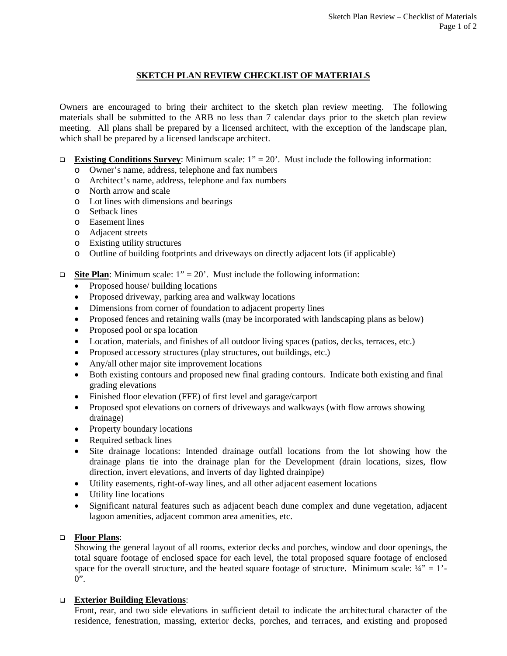# **SKETCH PLAN REVIEW CHECKLIST OF MATERIALS**

Owners are encouraged to bring their architect to the sketch plan review meeting. The following materials shall be submitted to the ARB no less than 7 calendar days prior to the sketch plan review meeting. All plans shall be prepared by a licensed architect, with the exception of the landscape plan, which shall be prepared by a licensed landscape architect.

- **Existing Conditions Survey**: Minimum scale:  $1'' = 20'$ . Must include the following information:
	- o Owner's name, address, telephone and fax numbers
	- o Architect's name, address, telephone and fax numbers
	- o North arrow and scale
	- o Lot lines with dimensions and bearings
	- o Setback lines
	- o Easement lines
	- o Adjacent streets
	- o Existing utility structures
	- o Outline of building footprints and driveways on directly adjacent lots (if applicable)
- **Site Plan**: Minimum scale:  $1'' = 20'$ . Must include the following information:
	- Proposed house/ building locations
	- Proposed driveway, parking area and walkway locations
	- Dimensions from corner of foundation to adjacent property lines
	- Proposed fences and retaining walls (may be incorporated with landscaping plans as below)
	- Proposed pool or spa location
	- Location, materials, and finishes of all outdoor living spaces (patios, decks, terraces, etc.)
	- Proposed accessory structures (play structures, out buildings, etc.)
	- Any/all other major site improvement locations
	- Both existing contours and proposed new final grading contours. Indicate both existing and final grading elevations
	- Finished floor elevation (FFE) of first level and garage/carport
	- Proposed spot elevations on corners of driveways and walkways (with flow arrows showing drainage)
	- Property boundary locations
	- Required setback lines
	- Site drainage locations: Intended drainage outfall locations from the lot showing how the drainage plans tie into the drainage plan for the Development (drain locations, sizes, flow direction, invert elevations, and inverts of day lighted drainpipe)
	- Utility easements, right-of-way lines, and all other adjacent easement locations
	- Utility line locations
	- Significant natural features such as adjacent beach dune complex and dune vegetation, adjacent lagoon amenities, adjacent common area amenities, etc.

# **Floor Plans**:

Showing the general layout of all rooms, exterior decks and porches, window and door openings, the total square footage of enclosed space for each level, the total proposed square footage of enclosed space for the overall structure, and the heated square footage of structure. Minimum scale:  $\frac{1}{4}$ " = 1'- $0$ ".

# **Exterior Building Elevations**:

Front, rear, and two side elevations in sufficient detail to indicate the architectural character of the residence, fenestration, massing, exterior decks, porches, and terraces, and existing and proposed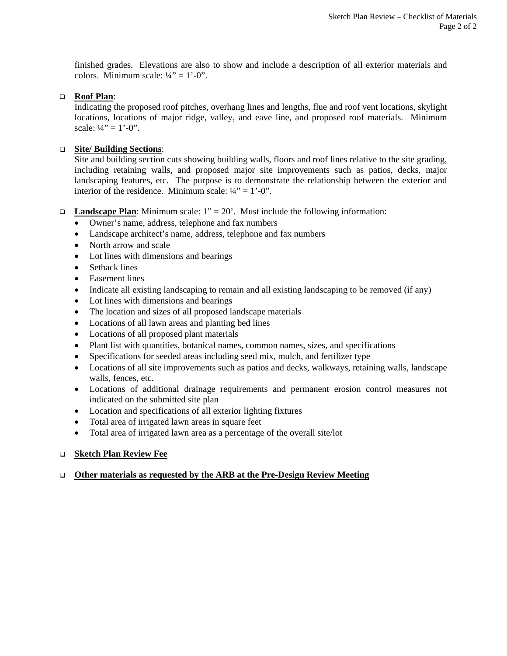finished grades. Elevations are also to show and include a description of all exterior materials and colors. Minimum scale:  $\frac{1}{4}$ " = 1'-0".

#### **Roof Plan**:

Indicating the proposed roof pitches, overhang lines and lengths, flue and roof vent locations, skylight locations, locations of major ridge, valley, and eave line, and proposed roof materials. Minimum scale:  $\frac{1}{4}$ " = 1'-0".

#### **Site/ Building Sections**:

Site and building section cuts showing building walls, floors and roof lines relative to the site grading, including retaining walls, and proposed major site improvements such as patios, decks, major landscaping features, etc. The purpose is to demonstrate the relationship between the exterior and interior of the residence. Minimum scale:  $\frac{1}{4}$ " = 1'-0".

- **Landscape Plan**: Minimum scale:  $1'' = 20'$ . Must include the following information:
	- Owner's name, address, telephone and fax numbers
	- Landscape architect's name, address, telephone and fax numbers
	- North arrow and scale
	- Lot lines with dimensions and bearings
	- Setback lines
	- Easement lines
	- Indicate all existing landscaping to remain and all existing landscaping to be removed (if any)
	- Lot lines with dimensions and bearings
	- The location and sizes of all proposed landscape materials
	- Locations of all lawn areas and planting bed lines
	- Locations of all proposed plant materials
	- Plant list with quantities, botanical names, common names, sizes, and specifications
	- Specifications for seeded areas including seed mix, mulch, and fertilizer type
	- Locations of all site improvements such as patios and decks, walkways, retaining walls, landscape walls, fences, etc.
	- Locations of additional drainage requirements and permanent erosion control measures not indicated on the submitted site plan
	- Location and specifications of all exterior lighting fixtures
	- Total area of irrigated lawn areas in square feet
	- Total area of irrigated lawn area as a percentage of the overall site/lot

#### **Sketch Plan Review Fee**

#### **Other materials as requested by the ARB at the Pre-Design Review Meeting**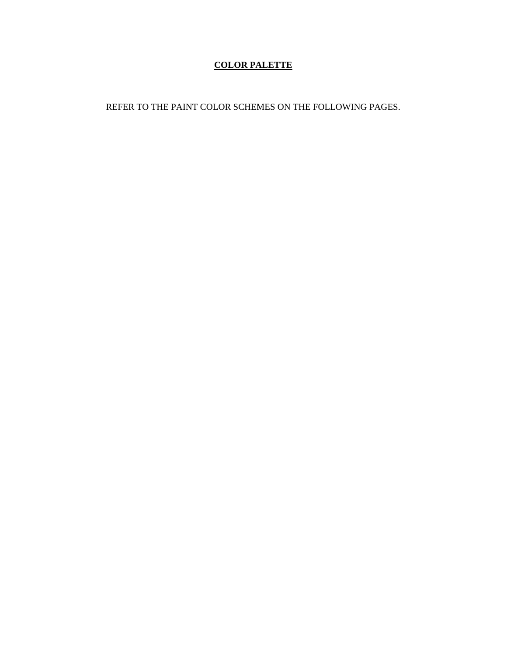# **COLOR PALETTE**

REFER TO THE PAINT COLOR SCHEMES ON THE FOLLOWING PAGES.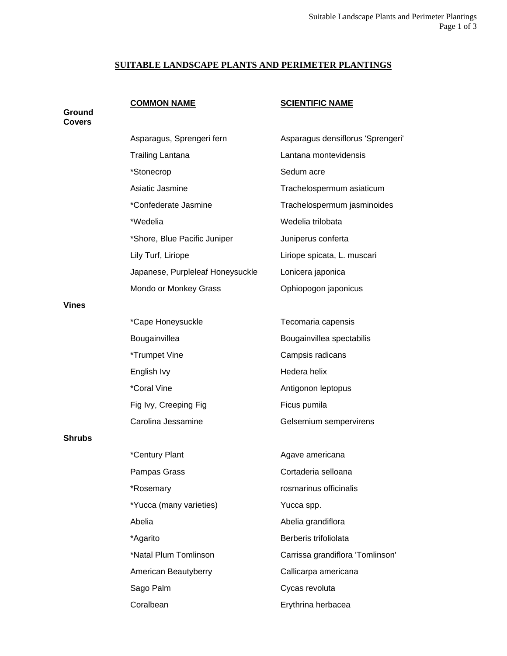# **SUITABLE LANDSCAPE PLANTS AND PERIMETER PLANTINGS**

**Ground** 

# **COMMON NAME SCIENTIFIC NAME**

| <b>Covers</b> |                                  |                                   |
|---------------|----------------------------------|-----------------------------------|
|               | Asparagus, Sprengeri fern        | Asparagus densiflorus 'Sprengeri' |
|               | <b>Trailing Lantana</b>          | Lantana montevidensis             |
|               | *Stonecrop                       | Sedum acre                        |
|               | Asiatic Jasmine                  | Trachelospermum asiaticum         |
|               | *Confederate Jasmine             | Trachelospermum jasminoides       |
|               | *Wedelia                         | Wedelia trilobata                 |
|               | *Shore, Blue Pacific Juniper     | Juniperus conferta                |
|               | Lily Turf, Liriope               | Liriope spicata, L. muscari       |
|               | Japanese, Purpleleaf Honeysuckle | Lonicera japonica                 |
|               | Mondo or Monkey Grass            | Ophiopogon japonicus              |
| <b>Vines</b>  |                                  |                                   |
|               | *Cape Honeysuckle                | Tecomaria capensis                |
|               | Bougainvillea                    | Bougainvillea spectabilis         |
|               | *Trumpet Vine                    | Campsis radicans                  |
|               | English Ivy                      | Hedera helix                      |
|               | *Coral Vine                      | Antigonon leptopus                |
|               | Fig Ivy, Creeping Fig            | Ficus pumila                      |
|               | Carolina Jessamine               | Gelsemium sempervirens            |
| <b>Shrubs</b> |                                  |                                   |
|               | *Century Plant                   | Agave americana                   |
|               | Pampas Grass                     | Cortaderia selloana               |
|               | *Rosemary                        | rosmarinus officinalis            |
|               | *Yucca (many varieties)          | Yucca spp.                        |
|               | Abelia                           | Abelia grandiflora                |
|               | *Agarito                         | Berberis trifoliolata             |
|               | *Natal Plum Tomlinson            | Carrissa grandiflora 'Tomlinson'  |
|               | American Beautyberry             | Callicarpa americana              |
|               | Sago Palm                        | Cycas revoluta                    |
|               | Coralbean                        | Erythrina herbacea                |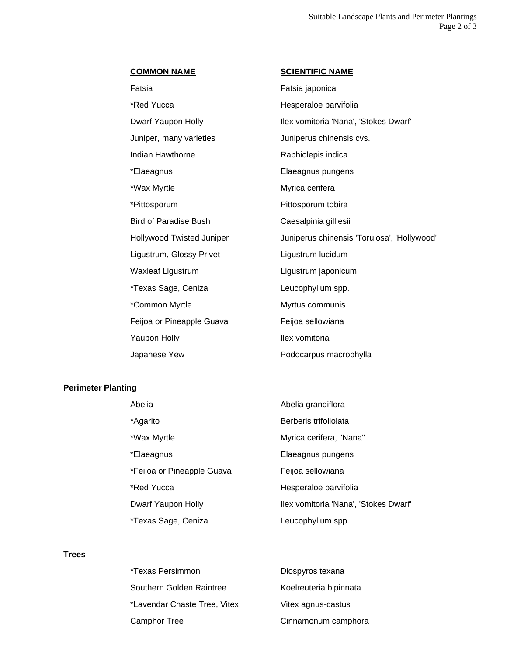Fatsia Fatsia japonica \*Red Yucca **Hesperaloe** parvifolia Juniper, many varieties **Juniperus chinensis cvs.** Indian Hawthorne **Raphiolepis** indica \*Elaeagnus Elaeagnus pungens \*Wax Myrtle **Myrica** cerifera \*Pittosporum **Pittosporum** tobira Bird of Paradise Bush Caesalpinia gilliesii Ligustrum, Glossy Privet Ligustrum lucidum Waxleaf Ligustrum **Ligustrum is a ligustrum** Ligustrum iaponicum \*Texas Sage, Ceniza Leucophyllum spp. \*Common Myrtle Myrtus communis Feijoa or Pineapple Guava Feijoa sellowiana Yaupon Holly **Ilex vomitoria** Japanese Yew **Podocarpus macrophylla** 

#### **COMMON NAME** SCIENTIFIC NAME

Dwarf Yaupon Holly **Ilex vomitoria 'Nana', 'Stokes Dwarf'** Hollywood Twisted Juniper **Juniperus chinensis 'Torulosa', 'Hollywood'** 

#### **Perimeter Planting**

| Abelia                     | Abelia grandiflora                    |
|----------------------------|---------------------------------------|
| *Agarito                   | Berberis trifoliolata                 |
| *Wax Myrtle                | Myrica cerifera, "Nana"               |
| *Elaeagnus                 | Elaeagnus pungens                     |
| *Feijoa or Pineapple Guava | Feijoa sellowiana                     |
| *Red Yucca                 | Hesperaloe parvifolia                 |
| Dwarf Yaupon Holly         | Ilex vomitoria 'Nana', 'Stokes Dwarf' |
| *Texas Sage, Ceniza        | Leucophyllum spp.                     |

#### **Trees**

| *Texas Persimmon             | Diospyros texana       |
|------------------------------|------------------------|
| Southern Golden Raintree     | Koelreuteria bipinnata |
| *Lavendar Chaste Tree, Vitex | Vitex agnus-castus     |
| Camphor Tree                 | Cinnamonum camphora    |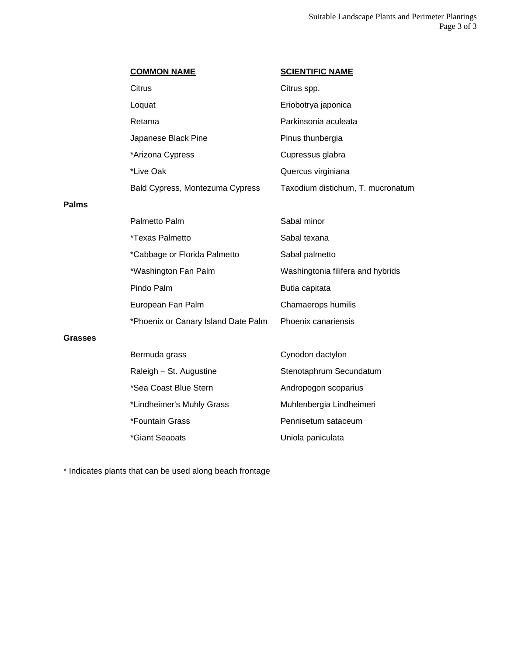|              | <b>COMMON NAME</b>                  | <b>SCIENTIFIC NAME</b>            |
|--------------|-------------------------------------|-----------------------------------|
|              | Citrus                              | Citrus spp.                       |
|              | Loquat                              | Eriobotrya japonica               |
|              | Retama                              | Parkinsonia aculeata              |
|              | Japanese Black Pine                 | Pinus thunbergia                  |
|              | *Arizona Cypress                    | Cupressus glabra                  |
|              | *Live Oak                           | Quercus virginiana                |
|              | Bald Cypress, Montezuma Cypress     | Taxodium distichum, T. mucronatum |
| <b>Palms</b> |                                     |                                   |
|              | Palmetto Palm                       | Sabal minor                       |
|              | <i><b>*Texas Palmetto</b></i>       | Sabal texana                      |
|              | *Cabbage or Florida Palmetto        | Sabal palmetto                    |
|              | *Washington Fan Palm                | Washingtonia filifera and hybrids |
|              | Pindo Palm                          | Butia capitata                    |
|              | European Fan Palm                   | Chamaerops humilis                |
|              | *Phoenix or Canary Island Date Palm | Phoenix canariensis               |
| Grasses      |                                     |                                   |
|              | Bermuda grass                       | Cynodon dactylon                  |
|              | Raleigh - St. Augustine             | Stenotaphrum Secundatum           |
|              | *Sea Coast Blue Stern               | Andropogon scoparius              |
|              | *Lindheimer's Muhly Grass           | Muhlenbergia Lindheimeri          |
|              | *Fountain Grass                     | Pennisetum sataceum               |
|              | *Giant Seaoats                      | Uniola paniculata                 |

\* Indicates plants that can be used along beach frontage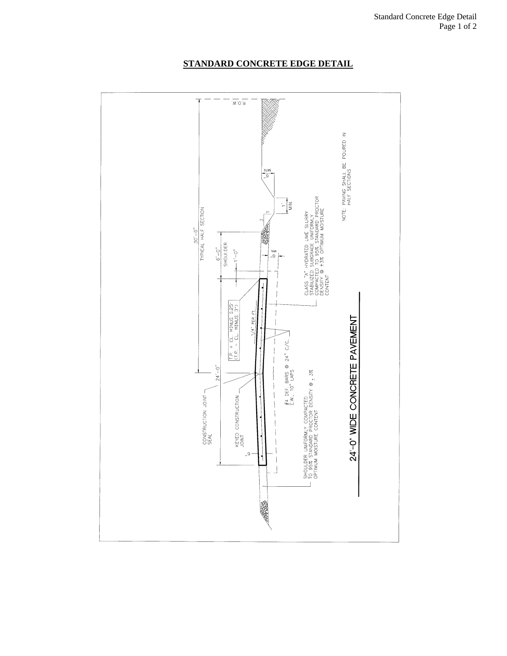

# **STANDARD CONCRETE EDGE DETAIL**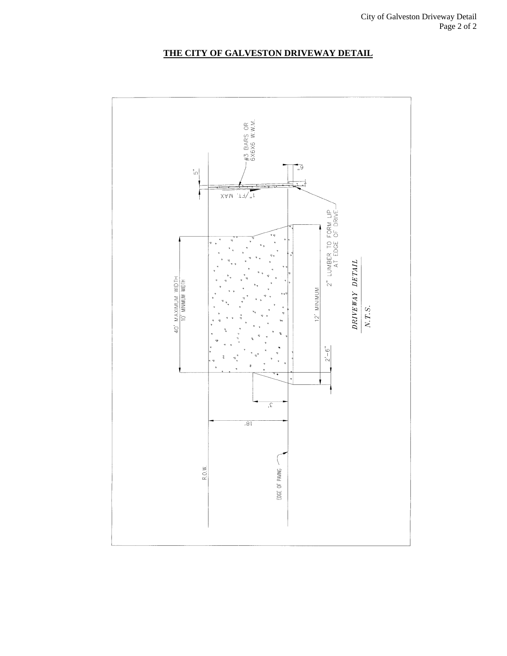

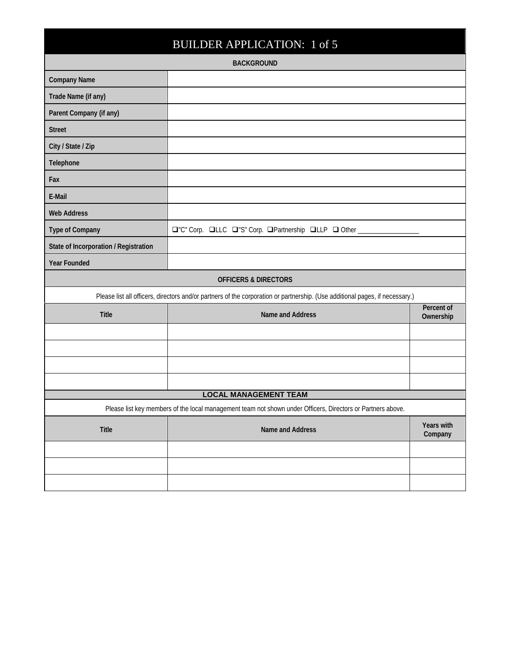| <b>BUILDER APPLICATION: 1 of 5</b>                                                                          |                                                                                                                              |                         |  |  |  |
|-------------------------------------------------------------------------------------------------------------|------------------------------------------------------------------------------------------------------------------------------|-------------------------|--|--|--|
|                                                                                                             | <b>BACKGROUND</b>                                                                                                            |                         |  |  |  |
| <b>Company Name</b>                                                                                         |                                                                                                                              |                         |  |  |  |
| Trade Name (if any)                                                                                         |                                                                                                                              |                         |  |  |  |
| Parent Company (if any)                                                                                     |                                                                                                                              |                         |  |  |  |
| <b>Street</b>                                                                                               |                                                                                                                              |                         |  |  |  |
| City / State / Zip                                                                                          |                                                                                                                              |                         |  |  |  |
| Telephone                                                                                                   |                                                                                                                              |                         |  |  |  |
| Fax                                                                                                         |                                                                                                                              |                         |  |  |  |
| E-Mail                                                                                                      |                                                                                                                              |                         |  |  |  |
| <b>Web Address</b>                                                                                          |                                                                                                                              |                         |  |  |  |
| <b>Type of Company</b>                                                                                      | O"C" Corp. QLLC Q"S" Corp. QPartnership QLLP Q Other ____                                                                    |                         |  |  |  |
| State of Incorporation / Registration                                                                       |                                                                                                                              |                         |  |  |  |
| <b>Year Founded</b>                                                                                         |                                                                                                                              |                         |  |  |  |
|                                                                                                             | <b>OFFICERS &amp; DIRECTORS</b>                                                                                              |                         |  |  |  |
|                                                                                                             | Please list all officers, directors and/or partners of the corporation or partnership. (Use additional pages, if necessary.) |                         |  |  |  |
| <b>Title</b>                                                                                                | Name and Address                                                                                                             | Percent of<br>Ownership |  |  |  |
|                                                                                                             |                                                                                                                              |                         |  |  |  |
|                                                                                                             |                                                                                                                              |                         |  |  |  |
|                                                                                                             |                                                                                                                              |                         |  |  |  |
|                                                                                                             |                                                                                                                              |                         |  |  |  |
| <b>LOCAL MANAGEMENT TEAM</b>                                                                                |                                                                                                                              |                         |  |  |  |
| Please list key members of the local management team not shown under Officers, Directors or Partners above. |                                                                                                                              |                         |  |  |  |
| <b>Title</b>                                                                                                | Name and Address                                                                                                             | Years with<br>Company   |  |  |  |
|                                                                                                             |                                                                                                                              |                         |  |  |  |
|                                                                                                             |                                                                                                                              |                         |  |  |  |
|                                                                                                             |                                                                                                                              |                         |  |  |  |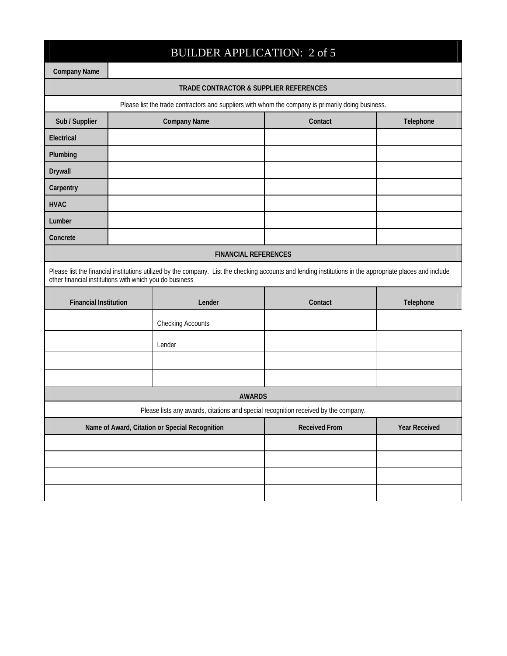|                                                         | <b>BUILDER APPLICATION: 2 of 5</b> |                                                                                                                                                           |                      |                      |  |  |
|---------------------------------------------------------|------------------------------------|-----------------------------------------------------------------------------------------------------------------------------------------------------------|----------------------|----------------------|--|--|
| <b>Company Name</b>                                     |                                    |                                                                                                                                                           |                      |                      |  |  |
|                                                         |                                    | TRADE CONTRACTOR & SUPPLIER REFERENCES                                                                                                                    |                      |                      |  |  |
|                                                         |                                    | Please list the trade contractors and suppliers with whom the company is primarily doing business.                                                        |                      |                      |  |  |
| Sub / Supplier                                          |                                    | <b>Company Name</b>                                                                                                                                       | Contact              | Telephone            |  |  |
| Electrical                                              |                                    |                                                                                                                                                           |                      |                      |  |  |
| Plumbing                                                |                                    |                                                                                                                                                           |                      |                      |  |  |
| Drywall                                                 |                                    |                                                                                                                                                           |                      |                      |  |  |
| Carpentry                                               |                                    |                                                                                                                                                           |                      |                      |  |  |
| <b>HVAC</b>                                             |                                    |                                                                                                                                                           |                      |                      |  |  |
| Lumber                                                  |                                    |                                                                                                                                                           |                      |                      |  |  |
| Concrete                                                |                                    |                                                                                                                                                           |                      |                      |  |  |
|                                                         |                                    | <b>FINANCIAL REFERENCES</b>                                                                                                                               |                      |                      |  |  |
| other financial institutions with which you do business |                                    | Please list the financial institutions utilized by the company. List the checking accounts and lending institutions in the appropriate places and include |                      |                      |  |  |
| <b>Financial Institution</b>                            |                                    | Lender                                                                                                                                                    | Contact              | Telephone            |  |  |
|                                                         |                                    | <b>Checking Accounts</b>                                                                                                                                  |                      |                      |  |  |
|                                                         |                                    | Lender                                                                                                                                                    |                      |                      |  |  |
|                                                         |                                    |                                                                                                                                                           |                      |                      |  |  |
|                                                         |                                    |                                                                                                                                                           |                      |                      |  |  |
|                                                         |                                    | <b>AWARDS</b>                                                                                                                                             |                      |                      |  |  |
|                                                         |                                    | Please lists any awards, citations and special recognition received by the company.                                                                       |                      |                      |  |  |
| Name of Award, Citation or Special Recognition          |                                    |                                                                                                                                                           | <b>Received From</b> | <b>Year Received</b> |  |  |
|                                                         |                                    |                                                                                                                                                           |                      |                      |  |  |
|                                                         |                                    |                                                                                                                                                           |                      |                      |  |  |
|                                                         |                                    |                                                                                                                                                           |                      |                      |  |  |
|                                                         |                                    |                                                                                                                                                           |                      |                      |  |  |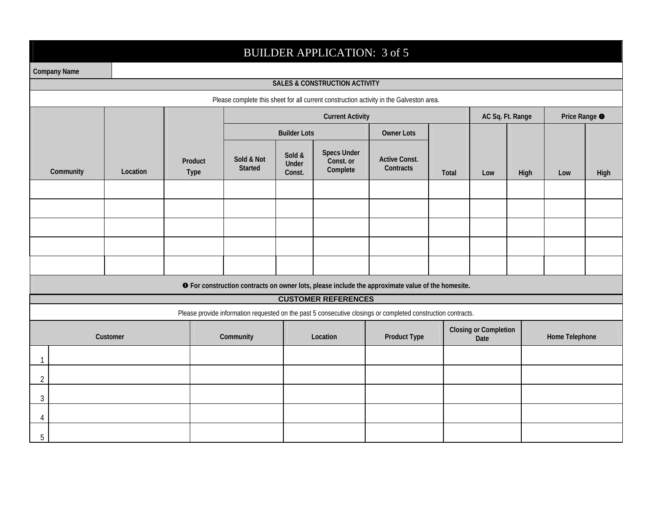# BUILDER APPLICATION: 3 of 5

П

|                | <b>Company Name</b> |          |                        |                       |                           |                                             |                                                                                                              |       |                                      |                  |                |                          |  |
|----------------|---------------------|----------|------------------------|-----------------------|---------------------------|---------------------------------------------|--------------------------------------------------------------------------------------------------------------|-------|--------------------------------------|------------------|----------------|--------------------------|--|
|                |                     |          |                        |                       |                           | <b>SALES &amp; CONSTRUCTION ACTIVITY</b>    |                                                                                                              |       |                                      |                  |                |                          |  |
|                |                     |          |                        |                       |                           |                                             | Please complete this sheet for all current construction activity in the Galveston area.                      |       |                                      |                  |                |                          |  |
|                |                     |          |                        |                       |                           | <b>Current Activity</b>                     |                                                                                                              |       |                                      | AC Sq. Ft. Range |                | Price Range <sup>O</sup> |  |
|                |                     |          |                        |                       | <b>Builder Lots</b>       |                                             | <b>Owner Lots</b>                                                                                            |       |                                      |                  |                |                          |  |
|                | Community           | Location | Product<br><b>Type</b> | Sold & Not<br>Started | Sold &<br>Under<br>Const. | <b>Specs Under</b><br>Const. or<br>Complete | <b>Active Const.</b><br>Contracts                                                                            | Total | Low                                  | High             | Low            | High                     |  |
|                |                     |          |                        |                       |                           |                                             |                                                                                                              |       |                                      |                  |                |                          |  |
|                |                     |          |                        |                       |                           |                                             |                                                                                                              |       |                                      |                  |                |                          |  |
|                |                     |          |                        |                       |                           |                                             |                                                                                                              |       |                                      |                  |                |                          |  |
|                |                     |          |                        |                       |                           |                                             |                                                                                                              |       |                                      |                  |                |                          |  |
|                |                     |          |                        |                       |                           |                                             |                                                                                                              |       |                                      |                  |                |                          |  |
|                |                     |          |                        |                       |                           |                                             | <b>O</b> For construction contracts on owner lots, please include the approximate value of the homesite.     |       |                                      |                  |                |                          |  |
|                |                     |          |                        |                       |                           | <b>CUSTOMER REFERENCES</b>                  |                                                                                                              |       |                                      |                  |                |                          |  |
|                |                     |          |                        |                       |                           |                                             | Please provide information requested on the past 5 consecutive closings or completed construction contracts. |       |                                      |                  |                |                          |  |
|                |                     | Customer |                        | Community             |                           | Location                                    | <b>Product Type</b>                                                                                          |       | <b>Closing or Completion</b><br>Date |                  | Home Telephone |                          |  |
| $\mathbf{1}$   |                     |          |                        |                       |                           |                                             |                                                                                                              |       |                                      |                  |                |                          |  |
| $\overline{2}$ |                     |          |                        |                       |                           |                                             |                                                                                                              |       |                                      |                  |                |                          |  |
| 3              |                     |          |                        |                       |                           |                                             |                                                                                                              |       |                                      |                  |                |                          |  |
| 4              |                     |          |                        |                       |                           |                                             |                                                                                                              |       |                                      |                  |                |                          |  |
| 5              |                     |          |                        |                       |                           |                                             |                                                                                                              |       |                                      |                  |                |                          |  |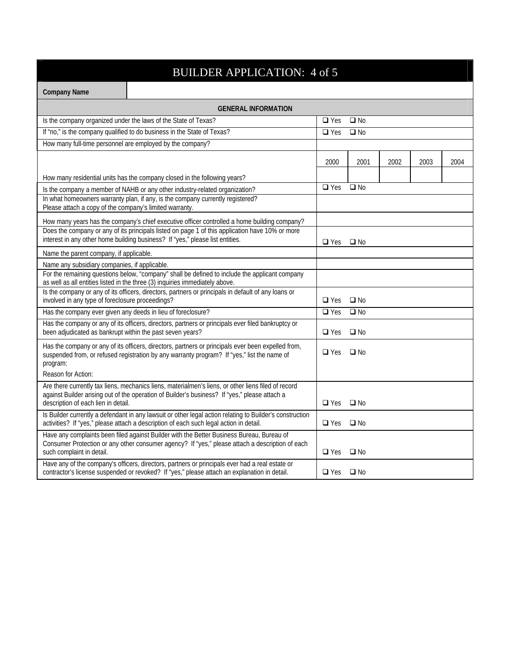# BUILDER APPLICATION: 4 of 5

| <b>Company Name</b>                                                                                                                                                                                                                         |                                                                                                                                                                                                 |              |              |      |      |      |  |  |
|---------------------------------------------------------------------------------------------------------------------------------------------------------------------------------------------------------------------------------------------|-------------------------------------------------------------------------------------------------------------------------------------------------------------------------------------------------|--------------|--------------|------|------|------|--|--|
|                                                                                                                                                                                                                                             | <b>GENERAL INFORMATION</b>                                                                                                                                                                      |              |              |      |      |      |  |  |
|                                                                                                                                                                                                                                             | Is the company organized under the laws of the State of Texas?                                                                                                                                  | $\Box$ Yes   | $\Box$ No    |      |      |      |  |  |
|                                                                                                                                                                                                                                             | If "no," is the company qualified to do business in the State of Texas?                                                                                                                         | $\Box$ Yes   | $\square$ No |      |      |      |  |  |
|                                                                                                                                                                                                                                             | How many full-time personnel are employed by the company?                                                                                                                                       |              |              |      |      |      |  |  |
|                                                                                                                                                                                                                                             |                                                                                                                                                                                                 | 2000         | 2001         | 2002 | 2003 | 2004 |  |  |
|                                                                                                                                                                                                                                             | How many residential units has the company closed in the following years?                                                                                                                       |              |              |      |      |      |  |  |
|                                                                                                                                                                                                                                             | Is the company a member of NAHB or any other industry-related organization?                                                                                                                     | $\Box$ Yes   | $\Box$ No    |      |      |      |  |  |
| Please attach a copy of the company's limited warranty.                                                                                                                                                                                     | In what homeowners warranty plan, if any, is the company currently registered?                                                                                                                  |              |              |      |      |      |  |  |
|                                                                                                                                                                                                                                             | How many years has the company's chief executive officer controlled a home building company?                                                                                                    |              |              |      |      |      |  |  |
|                                                                                                                                                                                                                                             | Does the company or any of its principals listed on page 1 of this application have 10% or more<br>interest in any other home building business? If "yes," please list entities.                | $\Box$ Yes   | $\square$ No |      |      |      |  |  |
| Name the parent company, if applicable.                                                                                                                                                                                                     |                                                                                                                                                                                                 |              |              |      |      |      |  |  |
| Name any subsidiary companies, if applicable.                                                                                                                                                                                               |                                                                                                                                                                                                 |              |              |      |      |      |  |  |
|                                                                                                                                                                                                                                             | For the remaining questions below, "company" shall be defined to include the applicant company<br>as well as all entities listed in the three (3) inquiries immediately above.                  |              |              |      |      |      |  |  |
| involved in any type of foreclosure proceedings?                                                                                                                                                                                            | Is the company or any of its officers, directors, partners or principals in default of any loans or                                                                                             | $\Box$ Yes   | $\Box$ No    |      |      |      |  |  |
|                                                                                                                                                                                                                                             | Has the company ever given any deeds in lieu of foreclosure?                                                                                                                                    | $\Box$ Yes   | $\Box$ No    |      |      |      |  |  |
| been adjudicated as bankrupt within the past seven years?                                                                                                                                                                                   | Has the company or any of its officers, directors, partners or principals ever filed bankruptcy or                                                                                              | $\Box$ Yes   | $\Box$ No    |      |      |      |  |  |
| Has the company or any of its officers, directors, partners or principals ever been expelled from,<br>suspended from, or refused registration by any warranty program? If "yes," list the name of<br>program:                               | $\Box$ Yes                                                                                                                                                                                      | $\square$ No |              |      |      |      |  |  |
| Reason for Action:                                                                                                                                                                                                                          |                                                                                                                                                                                                 |              |              |      |      |      |  |  |
| Are there currently tax liens, mechanics liens, materialmen's liens, or other liens filed of record<br>against Builder arising out of the operation of Builder's business? If "yes," please attach a<br>description of each lien in detail. | $\Box$ Yes                                                                                                                                                                                      | $\square$ No |              |      |      |      |  |  |
| Is Builder currently a defendant in any lawsuit or other legal action relating to Builder's construction<br>activities? If "yes," please attach a description of each such legal action in detail.                                          | $\Box$ Yes                                                                                                                                                                                      | $\square$ No |              |      |      |      |  |  |
| Have any complaints been filed against Builder with the Better Business Bureau, Bureau of<br>Consumer Protection or any other consumer agency? If "yes," please attach a description of each<br>such complaint in detail.                   | $\Box$ Yes                                                                                                                                                                                      | $\square$ No |              |      |      |      |  |  |
|                                                                                                                                                                                                                                             | Have any of the company's officers, directors, partners or principals ever had a real estate or<br>contractor's license suspended or revoked? If "yes," please attach an explanation in detail. | $\Box$ Yes   | $\square$ No |      |      |      |  |  |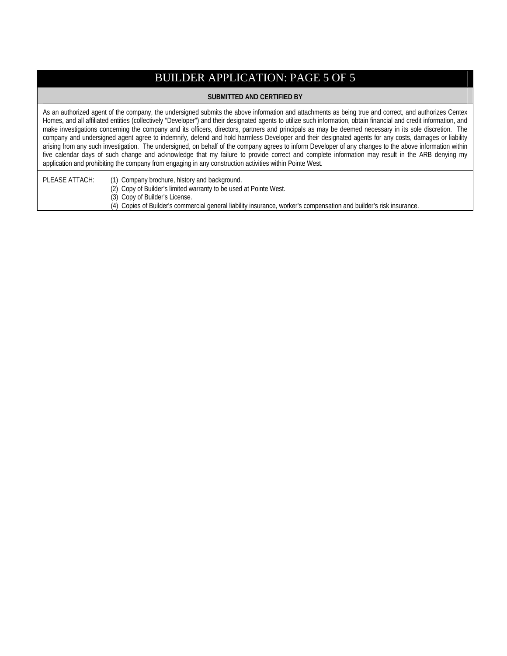# BUILDER APPLICATION: PAGE 5 OF 5

#### **SUBMITTED AND CERTIFIED BY**

As an authorized agent of the company, the undersigned submits the above information and attachments as being true and correct, and authorizes Centex Homes, and all affiliated entities (collectively "Developer") and their designated agents to utilize such information, obtain financial and credit information, and make investigations concerning the company and its officers, directors, partners and principals as may be deemed necessary in its sole discretion. The company and undersigned agent agree to indemnify, defend and hold harmless Developer and their designated agents for any costs, damages or liability arising from any such investigation. The undersigned, on behalf of the company agrees to inform Developer of any changes to the above information within five calendar days of such change and acknowledge that my failure to provide correct and complete information may result in the ARB denying my application and prohibiting the company from engaging in any construction activities within Pointe West.

PLEASE ATTACH: (1) Company brochure, history and background.

- (2) Copy of Builder's limited warranty to be used at Pointe West.
- (3) Copy of Builder's License.
- (4) Copies of Builder's commercial general liability insurance, worker's compensation and builder's risk insurance.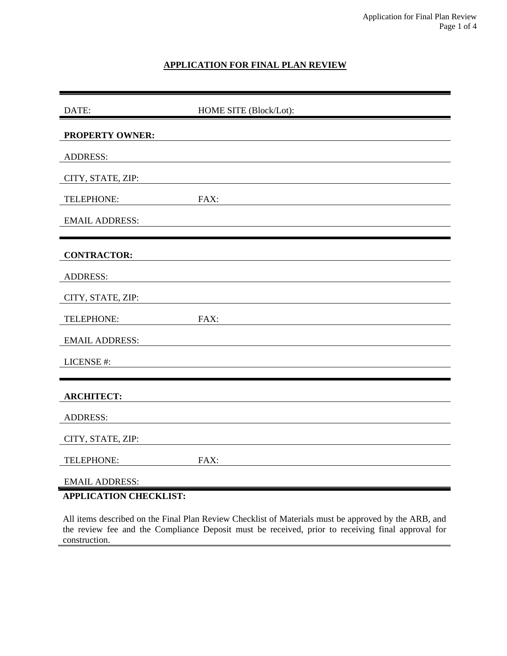# **APPLICATION FOR FINAL PLAN REVIEW**

| DATE:                                                  | HOME SITE (Block/Lot): |
|--------------------------------------------------------|------------------------|
| PROPERTY OWNER:                                        |                        |
| <b>ADDRESS:</b>                                        |                        |
| CITY, STATE, ZIP:                                      |                        |
| TELEPHONE:                                             | FAX:                   |
| <b>EMAIL ADDRESS:</b>                                  |                        |
|                                                        |                        |
| <b>CONTRACTOR:</b>                                     |                        |
| <b>ADDRESS:</b>                                        |                        |
| CITY, STATE, ZIP:                                      |                        |
| TELEPHONE:                                             | FAX:                   |
| <b>EMAIL ADDRESS:</b>                                  |                        |
| LICENSE #:                                             |                        |
|                                                        |                        |
| <b>ARCHITECT:</b>                                      |                        |
| <b>ADDRESS:</b>                                        |                        |
| CITY, STATE, ZIP:                                      |                        |
| TELEPHONE:                                             | FAX:                   |
| <b>EMAIL ADDRESS:</b><br><b>APPLICATION CHECKLIST:</b> |                        |

All items described on the Final Plan Review Checklist of Materials must be approved by the ARB, and the review fee and the Compliance Deposit must be received, prior to receiving final approval for construction.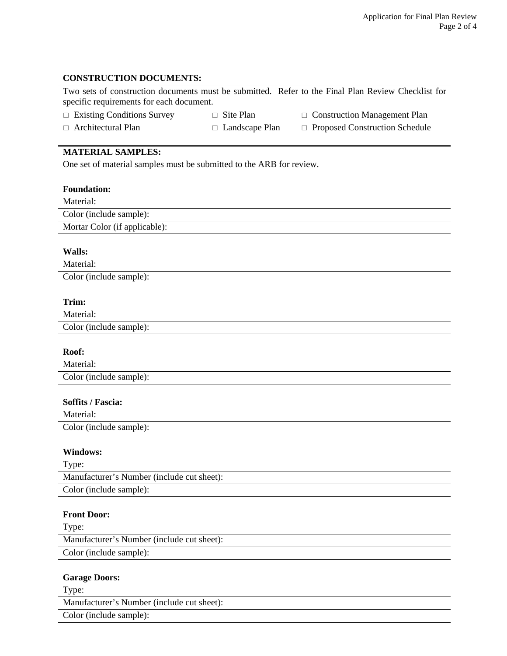# **CONSTRUCTION DOCUMENTS:**

| specific requirements for each document.                             |                       | Two sets of construction documents must be submitted. Refer to the Final Plan Review Checklist for |
|----------------------------------------------------------------------|-----------------------|----------------------------------------------------------------------------------------------------|
| $\Box$ Existing Conditions Survey                                    | $\Box$ Site Plan      | $\Box$ Construction Management Plan                                                                |
| $\Box$ Architectural Plan                                            | $\Box$ Landscape Plan | □ Proposed Construction Schedule                                                                   |
|                                                                      |                       |                                                                                                    |
| <b>MATERIAL SAMPLES:</b>                                             |                       |                                                                                                    |
| One set of material samples must be submitted to the ARB for review. |                       |                                                                                                    |
|                                                                      |                       |                                                                                                    |
| <b>Foundation:</b>                                                   |                       |                                                                                                    |
| Material:                                                            |                       |                                                                                                    |
| Color (include sample):                                              |                       |                                                                                                    |
| Mortar Color (if applicable):                                        |                       |                                                                                                    |
| Walls:                                                               |                       |                                                                                                    |
| Material:                                                            |                       |                                                                                                    |
| Color (include sample):                                              |                       |                                                                                                    |
|                                                                      |                       |                                                                                                    |
| Trim:                                                                |                       |                                                                                                    |
| Material:                                                            |                       |                                                                                                    |
| Color (include sample):                                              |                       |                                                                                                    |
|                                                                      |                       |                                                                                                    |
| Roof:                                                                |                       |                                                                                                    |
| Material:                                                            |                       |                                                                                                    |
| Color (include sample):                                              |                       |                                                                                                    |
|                                                                      |                       |                                                                                                    |
| Soffits / Fascia:                                                    |                       |                                                                                                    |
| Material:                                                            |                       |                                                                                                    |
| Color (include sample):                                              |                       |                                                                                                    |
|                                                                      |                       |                                                                                                    |
| <b>Windows:</b>                                                      |                       |                                                                                                    |
| Type:<br>Manufacturer's Number (include cut sheet):                  |                       |                                                                                                    |
| Color (include sample):                                              |                       |                                                                                                    |
|                                                                      |                       |                                                                                                    |
| <b>Front Door:</b>                                                   |                       |                                                                                                    |
| Type:                                                                |                       |                                                                                                    |
| Manufacturer's Number (include cut sheet):                           |                       |                                                                                                    |
| Color (include sample):                                              |                       |                                                                                                    |
|                                                                      |                       |                                                                                                    |
| <b>Garage Doors:</b>                                                 |                       |                                                                                                    |

Type:

Manufacturer's Number (include cut sheet):

Color (include sample):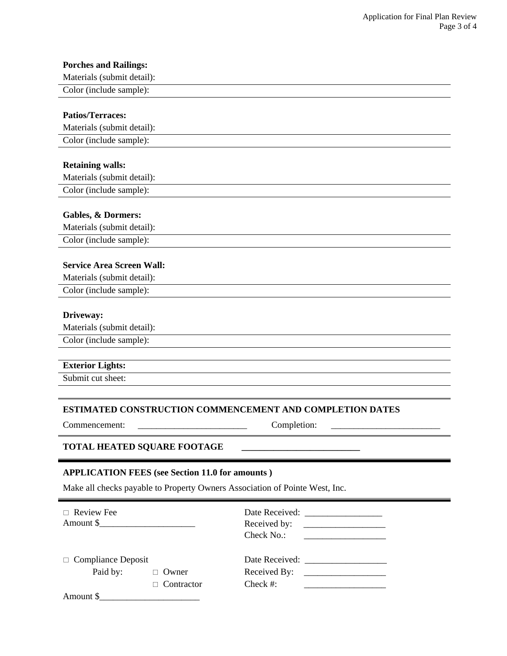| <b>Porches and Railings:</b>                                                |                                                                 |  |
|-----------------------------------------------------------------------------|-----------------------------------------------------------------|--|
| Materials (submit detail):                                                  |                                                                 |  |
| Color (include sample):                                                     |                                                                 |  |
|                                                                             |                                                                 |  |
| <b>Patios/Terraces:</b>                                                     |                                                                 |  |
| Materials (submit detail):                                                  |                                                                 |  |
| Color (include sample):                                                     |                                                                 |  |
|                                                                             |                                                                 |  |
| <b>Retaining walls:</b>                                                     |                                                                 |  |
| Materials (submit detail):                                                  |                                                                 |  |
| Color (include sample):                                                     |                                                                 |  |
|                                                                             |                                                                 |  |
| <b>Gables, &amp; Dormers:</b>                                               |                                                                 |  |
| Materials (submit detail):                                                  |                                                                 |  |
| Color (include sample):                                                     |                                                                 |  |
|                                                                             |                                                                 |  |
| <b>Service Area Screen Wall:</b>                                            |                                                                 |  |
| Materials (submit detail):                                                  |                                                                 |  |
| Color (include sample):                                                     |                                                                 |  |
|                                                                             |                                                                 |  |
| Driveway:<br>Materials (submit detail):                                     |                                                                 |  |
| Color (include sample):                                                     |                                                                 |  |
|                                                                             |                                                                 |  |
| <b>Exterior Lights:</b>                                                     |                                                                 |  |
| Submit cut sheet:                                                           |                                                                 |  |
|                                                                             |                                                                 |  |
|                                                                             |                                                                 |  |
|                                                                             | <b>ESTIMATED CONSTRUCTION COMMENCEMENT AND COMPLETION DATES</b> |  |
| Commencement:                                                               | Completion:                                                     |  |
| <b>TOTAL HEATED SQUARE FOOTAGE</b>                                          |                                                                 |  |
|                                                                             |                                                                 |  |
| <b>APPLICATION FEES (see Section 11.0 for amounts)</b>                      |                                                                 |  |
|                                                                             |                                                                 |  |
| Make all checks payable to Property Owners Association of Pointe West, Inc. |                                                                 |  |
| $\Box$ Review Fee                                                           |                                                                 |  |
| Amount \$                                                                   | Received by:                                                    |  |
|                                                                             | Check No.:                                                      |  |
|                                                                             |                                                                 |  |
| <b>Compliance Deposit</b><br>$\Box$                                         |                                                                 |  |
| Paid by:<br>$\Box$ Owner                                                    | Received By:                                                    |  |

| ι υγ. | $\cup$ $\vee$ when | Received Dy. |  |
|-------|--------------------|--------------|--|
|       | $\Box$ Contractor  | Check #:     |  |

Amount \$\_\_\_\_\_\_\_\_\_\_\_\_\_\_\_\_\_\_\_\_\_\_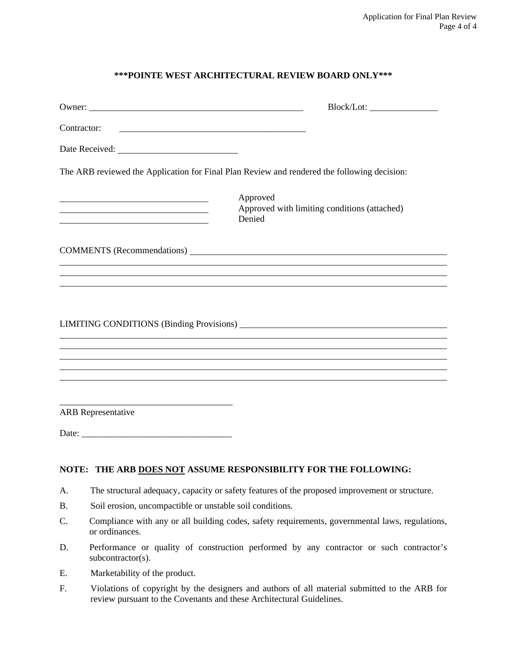# **\*\*\*POINTE WEST ARCHITECTURAL REVIEW BOARD ONLY\*\*\***

| Contractor:<br><u> 1989 - Johann Harry Harry Harry Harry Harry Harry Harry Harry Harry Harry Harry Harry Harry Harry Harry Harry</u> |                                                                                             |
|--------------------------------------------------------------------------------------------------------------------------------------|---------------------------------------------------------------------------------------------|
|                                                                                                                                      |                                                                                             |
|                                                                                                                                      | The ARB reviewed the Application for Final Plan Review and rendered the following decision: |
|                                                                                                                                      | Approved<br>Approved with limiting conditions (attached)<br>Denied                          |
|                                                                                                                                      |                                                                                             |
|                                                                                                                                      |                                                                                             |
|                                                                                                                                      |                                                                                             |
|                                                                                                                                      |                                                                                             |
|                                                                                                                                      |                                                                                             |
| <b>ARB</b> Representative                                                                                                            |                                                                                             |
|                                                                                                                                      |                                                                                             |

# **NOTE: THE ARB DOES NOT ASSUME RESPONSIBILITY FOR THE FOLLOWING:**

- A. The structural adequacy, capacity or safety features of the proposed improvement or structure.
- B. Soil erosion, uncompactible or unstable soil conditions.
- C. Compliance with any or all building codes, safety requirements, governmental laws, regulations, or ordinances.
- D. Performance or quality of construction performed by any contractor or such contractor's subcontractor(s).
- E. Marketability of the product.
- F. Violations of copyright by the designers and authors of all material submitted to the ARB for review pursuant to the Covenants and these Architectural Guidelines.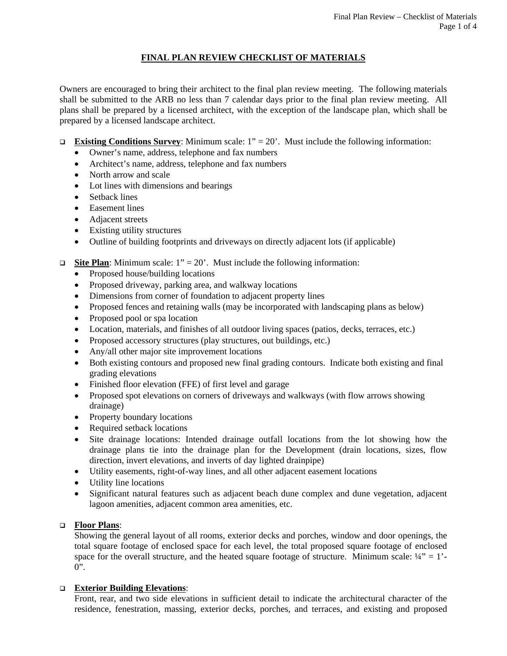# **FINAL PLAN REVIEW CHECKLIST OF MATERIALS**

Owners are encouraged to bring their architect to the final plan review meeting. The following materials shall be submitted to the ARB no less than 7 calendar days prior to the final plan review meeting. All plans shall be prepared by a licensed architect, with the exception of the landscape plan, which shall be prepared by a licensed landscape architect.

- **Existing Conditions Survey:** Minimum scale:  $1" = 20'$ . Must include the following information:
	- Owner's name, address, telephone and fax numbers
	- Architect's name, address, telephone and fax numbers
	- North arrow and scale
	- Lot lines with dimensions and bearings
	- Setback lines
	- Easement lines
	- Adjacent streets
	- Existing utility structures
	- Outline of building footprints and driveways on directly adjacent lots (if applicable)

# **Site Plan**: Minimum scale:  $1'' = 20'$ . Must include the following information:

- Proposed house/building locations
- Proposed driveway, parking area, and walkway locations
- Dimensions from corner of foundation to adjacent property lines
- Proposed fences and retaining walls (may be incorporated with landscaping plans as below)
- Proposed pool or spa location
- Location, materials, and finishes of all outdoor living spaces (patios, decks, terraces, etc.)
- Proposed accessory structures (play structures, out buildings, etc.)
- Any/all other major site improvement locations
- Both existing contours and proposed new final grading contours. Indicate both existing and final grading elevations
- Finished floor elevation (FFE) of first level and garage
- Proposed spot elevations on corners of driveways and walkways (with flow arrows showing drainage)
- Property boundary locations
- Required setback locations
- Site drainage locations: Intended drainage outfall locations from the lot showing how the drainage plans tie into the drainage plan for the Development (drain locations, sizes, flow direction, invert elevations, and inverts of day lighted drainpipe)
- Utility easements, right-of-way lines, and all other adjacent easement locations
- Utility line locations
- Significant natural features such as adjacent beach dune complex and dune vegetation, adjacent lagoon amenities, adjacent common area amenities, etc.

# **Floor Plans**:

Showing the general layout of all rooms, exterior decks and porches, window and door openings, the total square footage of enclosed space for each level, the total proposed square footage of enclosed space for the overall structure, and the heated square footage of structure. Minimum scale:  $\frac{1}{4}$ " = 1'- $0$ ".

# **Exterior Building Elevations**:

Front, rear, and two side elevations in sufficient detail to indicate the architectural character of the residence, fenestration, massing, exterior decks, porches, and terraces, and existing and proposed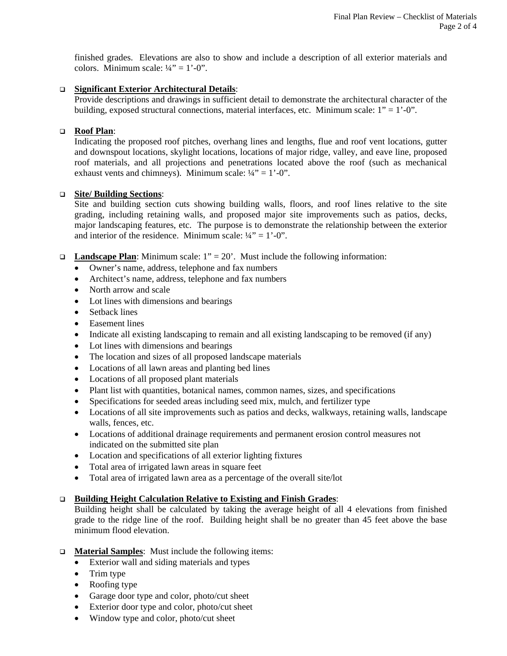finished grades. Elevations are also to show and include a description of all exterior materials and colors. Minimum scale:  $\frac{1}{4}$ " = 1'-0".

#### **Significant Exterior Architectural Details**:

Provide descriptions and drawings in sufficient detail to demonstrate the architectural character of the building, exposed structural connections, material interfaces, etc. Minimum scale:  $1" = 1'$ -0".

#### **Roof Plan**:

Indicating the proposed roof pitches, overhang lines and lengths, flue and roof vent locations, gutter and downspout locations, skylight locations, locations of major ridge, valley, and eave line, proposed roof materials, and all projections and penetrations located above the roof (such as mechanical exhaust vents and chimneys). Minimum scale:  $\frac{1}{4}$ " = 1'-0".

#### **Site/ Building Sections**:

Site and building section cuts showing building walls, floors, and roof lines relative to the site grading, including retaining walls, and proposed major site improvements such as patios, decks, major landscaping features, etc. The purpose is to demonstrate the relationship between the exterior and interior of the residence. Minimum scale:  $\frac{1}{4}$ " = 1'-0".

- **Landscape Plan**: Minimum scale:  $1'' = 20'$ . Must include the following information:
	- Owner's name, address, telephone and fax numbers
	- Architect's name, address, telephone and fax numbers
	- North arrow and scale
	- Lot lines with dimensions and bearings
	- Setback lines
	- Easement lines
	- Indicate all existing landscaping to remain and all existing landscaping to be removed (if any)
	- Lot lines with dimensions and bearings
	- The location and sizes of all proposed landscape materials
	- Locations of all lawn areas and planting bed lines
	- Locations of all proposed plant materials
	- Plant list with quantities, botanical names, common names, sizes, and specifications
	- Specifications for seeded areas including seed mix, mulch, and fertilizer type
	- Locations of all site improvements such as patios and decks, walkways, retaining walls, landscape walls, fences, etc.
	- Locations of additional drainage requirements and permanent erosion control measures not indicated on the submitted site plan
	- Location and specifications of all exterior lighting fixtures
	- Total area of irrigated lawn areas in square feet
	- Total area of irrigated lawn area as a percentage of the overall site/lot

#### **Building Height Calculation Relative to Existing and Finish Grades**:

Building height shall be calculated by taking the average height of all 4 elevations from finished grade to the ridge line of the roof. Building height shall be no greater than 45 feet above the base minimum flood elevation.

- **Material Samples**: Must include the following items:
	- Exterior wall and siding materials and types
	- Trim type
	- Roofing type
	- Garage door type and color, photo/cut sheet
	- Exterior door type and color, photo/cut sheet
	- Window type and color, photo/cut sheet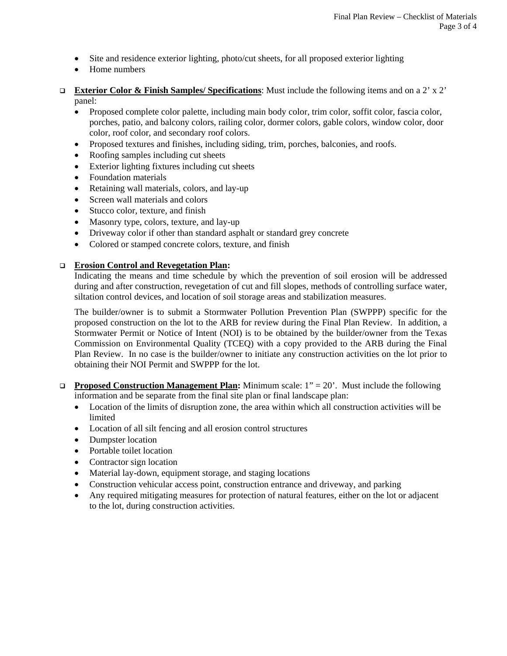- Site and residence exterior lighting, photo/cut sheets, for all proposed exterior lighting
- Home numbers
- **Exterior Color & Finish Samples/ Specifications**: Must include the following items and on a 2' x 2' panel:
	- Proposed complete color palette, including main body color, trim color, soffit color, fascia color, porches, patio, and balcony colors, railing color, dormer colors, gable colors, window color, door color, roof color, and secondary roof colors.
	- Proposed textures and finishes, including siding, trim, porches, balconies, and roofs.
	- Roofing samples including cut sheets
	- Exterior lighting fixtures including cut sheets
	- Foundation materials
	- Retaining wall materials, colors, and lay-up
	- Screen wall materials and colors
	- Stucco color, texture, and finish
	- Masonry type, colors, texture, and lay-up
	- Driveway color if other than standard asphalt or standard grey concrete
	- Colored or stamped concrete colors, texture, and finish

#### **Erosion Control and Revegetation Plan:**

Indicating the means and time schedule by which the prevention of soil erosion will be addressed during and after construction, revegetation of cut and fill slopes, methods of controlling surface water, siltation control devices, and location of soil storage areas and stabilization measures.

The builder/owner is to submit a Stormwater Pollution Prevention Plan (SWPPP) specific for the proposed construction on the lot to the ARB for review during the Final Plan Review. In addition, a Stormwater Permit or Notice of Intent (NOI) is to be obtained by the builder/owner from the Texas Commission on Environmental Quality (TCEQ) with a copy provided to the ARB during the Final Plan Review. In no case is the builder/owner to initiate any construction activities on the lot prior to obtaining their NOI Permit and SWPPP for the lot.

- **Proposed Construction Management Plan:** Minimum scale: 1" = 20'. Must include the following information and be separate from the final site plan or final landscape plan:
	- Location of the limits of disruption zone, the area within which all construction activities will be limited
	- Location of all silt fencing and all erosion control structures
	- Dumpster location
	- Portable toilet location
	- Contractor sign location
	- Material lay-down, equipment storage, and staging locations
	- Construction vehicular access point, construction entrance and driveway, and parking
	- Any required mitigating measures for protection of natural features, either on the lot or adjacent to the lot, during construction activities.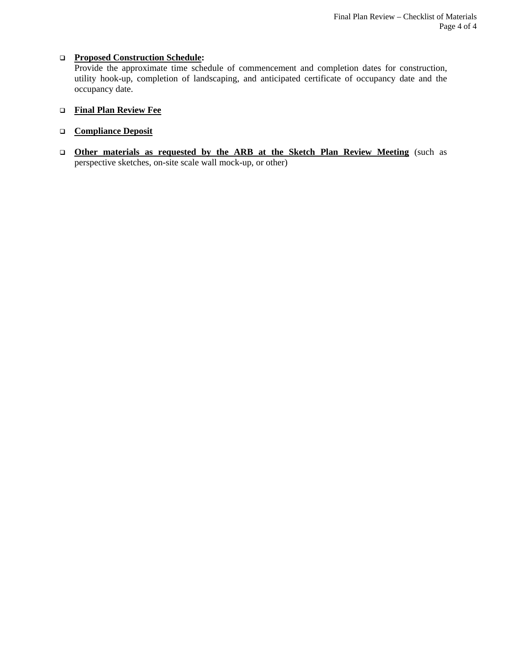#### **Proposed Construction Schedule:**

Provide the approximate time schedule of commencement and completion dates for construction, utility hook-up, completion of landscaping, and anticipated certificate of occupancy date and the occupancy date.

# **Final Plan Review Fee**

#### **Compliance Deposit**

 **Other materials as requested by the ARB at the Sketch Plan Review Meeting** (such as perspective sketches, on-site scale wall mock-up, or other)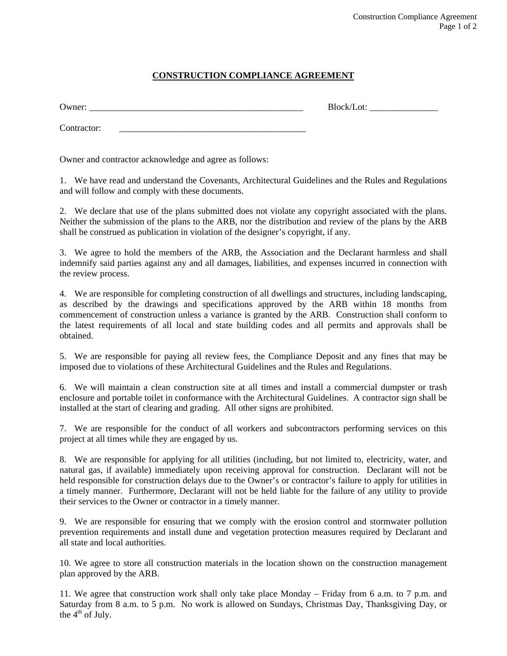# **CONSTRUCTION COMPLIANCE AGREEMENT**

| -<br>7 I I F<br>. | ີ<br>________________ |
|-------------------|-----------------------|
|                   |                       |

Contractor:

Owner and contractor acknowledge and agree as follows:

1. We have read and understand the Covenants, Architectural Guidelines and the Rules and Regulations and will follow and comply with these documents.

2. We declare that use of the plans submitted does not violate any copyright associated with the plans. Neither the submission of the plans to the ARB, nor the distribution and review of the plans by the ARB shall be construed as publication in violation of the designer's copyright, if any.

3. We agree to hold the members of the ARB, the Association and the Declarant harmless and shall indemnify said parties against any and all damages, liabilities, and expenses incurred in connection with the review process.

4. We are responsible for completing construction of all dwellings and structures, including landscaping, as described by the drawings and specifications approved by the ARB within 18 months from commencement of construction unless a variance is granted by the ARB. Construction shall conform to the latest requirements of all local and state building codes and all permits and approvals shall be obtained.

5. We are responsible for paying all review fees, the Compliance Deposit and any fines that may be imposed due to violations of these Architectural Guidelines and the Rules and Regulations.

6. We will maintain a clean construction site at all times and install a commercial dumpster or trash enclosure and portable toilet in conformance with the Architectural Guidelines. A contractor sign shall be installed at the start of clearing and grading. All other signs are prohibited.

7. We are responsible for the conduct of all workers and subcontractors performing services on this project at all times while they are engaged by us.

8. We are responsible for applying for all utilities (including, but not limited to, electricity, water, and natural gas, if available) immediately upon receiving approval for construction. Declarant will not be held responsible for construction delays due to the Owner's or contractor's failure to apply for utilities in a timely manner. Furthermore, Declarant will not be held liable for the failure of any utility to provide their services to the Owner or contractor in a timely manner.

9. We are responsible for ensuring that we comply with the erosion control and stormwater pollution prevention requirements and install dune and vegetation protection measures required by Declarant and all state and local authorities.

10. We agree to store all construction materials in the location shown on the construction management plan approved by the ARB.

11. We agree that construction work shall only take place Monday – Friday from 6 a.m. to 7 p.m. and Saturday from 8 a.m. to 5 p.m. No work is allowed on Sundays, Christmas Day, Thanksgiving Day, or the  $4<sup>th</sup>$  of July.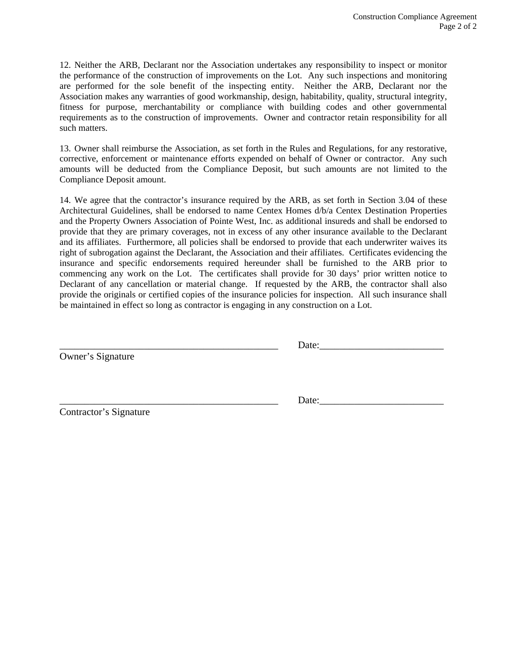12. Neither the ARB, Declarant nor the Association undertakes any responsibility to inspect or monitor the performance of the construction of improvements on the Lot. Any such inspections and monitoring are performed for the sole benefit of the inspecting entity. Neither the ARB, Declarant nor the Association makes any warranties of good workmanship, design, habitability, quality, structural integrity, fitness for purpose, merchantability or compliance with building codes and other governmental requirements as to the construction of improvements. Owner and contractor retain responsibility for all such matters.

13. Owner shall reimburse the Association, as set forth in the Rules and Regulations, for any restorative, corrective, enforcement or maintenance efforts expended on behalf of Owner or contractor. Any such amounts will be deducted from the Compliance Deposit, but such amounts are not limited to the Compliance Deposit amount.

14. We agree that the contractor's insurance required by the ARB, as set forth in Section 3.04 of these Architectural Guidelines, shall be endorsed to name Centex Homes d/b/a Centex Destination Properties and the Property Owners Association of Pointe West, Inc. as additional insureds and shall be endorsed to provide that they are primary coverages, not in excess of any other insurance available to the Declarant and its affiliates. Furthermore, all policies shall be endorsed to provide that each underwriter waives its right of subrogation against the Declarant, the Association and their affiliates. Certificates evidencing the insurance and specific endorsements required hereunder shall be furnished to the ARB prior to commencing any work on the Lot. The certificates shall provide for 30 days' prior written notice to Declarant of any cancellation or material change. If requested by the ARB, the contractor shall also provide the originals or certified copies of the insurance policies for inspection. All such insurance shall be maintained in effect so long as contractor is engaging in any construction on a Lot.

Owner's Signature

Date:

Contractor's Signature

Date: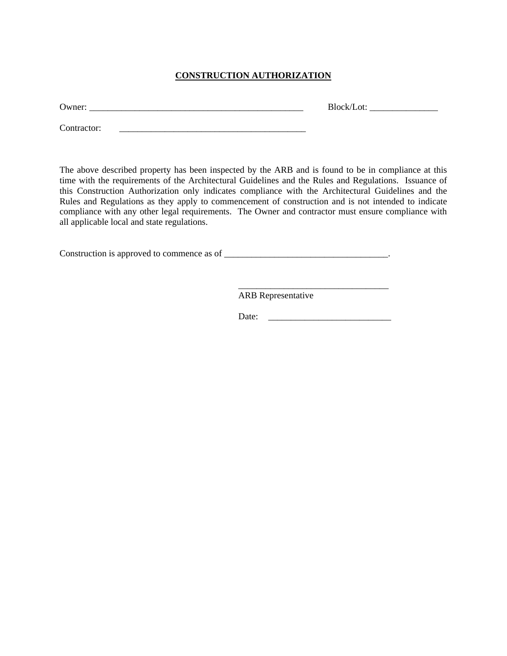# **CONSTRUCTION AUTHORIZATION**

Owner: \_\_\_\_\_\_\_\_\_\_\_\_\_\_\_\_\_\_\_\_\_\_\_\_\_\_\_\_\_\_\_\_\_\_\_\_\_\_\_\_\_\_\_\_\_\_\_ Block/Lot: \_\_\_\_\_\_\_\_\_\_\_\_\_\_\_

Contractor:

The above described property has been inspected by the ARB and is found to be in compliance at this time with the requirements of the Architectural Guidelines and the Rules and Regulations. Issuance of this Construction Authorization only indicates compliance with the Architectural Guidelines and the Rules and Regulations as they apply to commencement of construction and is not intended to indicate compliance with any other legal requirements. The Owner and contractor must ensure compliance with all applicable local and state regulations.

Construction is approved to commence as of  $\Box$ 

 $\overline{\phantom{a}}$  , and the contract of the contract of the contract of the contract of the contract of the contract of the contract of the contract of the contract of the contract of the contract of the contract of the contrac

ARB Representative

Date: \_\_\_\_\_\_\_\_\_\_\_\_\_\_\_\_\_\_\_\_\_\_\_\_\_\_\_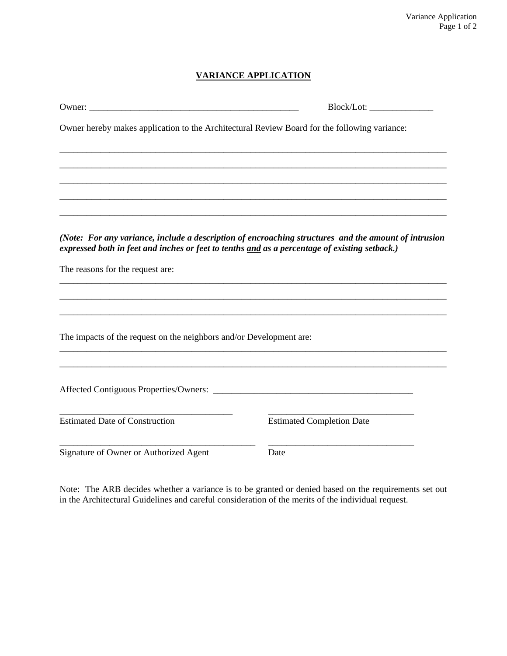# **VARIANCE APPLICATION**

| Owner hereby makes application to the Architectural Review Board for the following variance:                                                                                                          |                                  |
|-------------------------------------------------------------------------------------------------------------------------------------------------------------------------------------------------------|----------------------------------|
|                                                                                                                                                                                                       |                                  |
|                                                                                                                                                                                                       |                                  |
|                                                                                                                                                                                                       |                                  |
|                                                                                                                                                                                                       |                                  |
| (Note: For any variance, include a description of encroaching structures and the amount of intrusion<br>expressed both in feet and inches or feet to tenths and as a percentage of existing setback.) |                                  |
| The reasons for the request are:                                                                                                                                                                      |                                  |
|                                                                                                                                                                                                       |                                  |
|                                                                                                                                                                                                       |                                  |
| The impacts of the request on the neighbors and/or Development are:                                                                                                                                   |                                  |
|                                                                                                                                                                                                       |                                  |
|                                                                                                                                                                                                       |                                  |
| <b>Estimated Date of Construction</b>                                                                                                                                                                 | <b>Estimated Completion Date</b> |
| Signature of Owner or Authorized Agent                                                                                                                                                                | Date                             |

Note: The ARB decides whether a variance is to be granted or denied based on the requirements set out in the Architectural Guidelines and careful consideration of the merits of the individual request.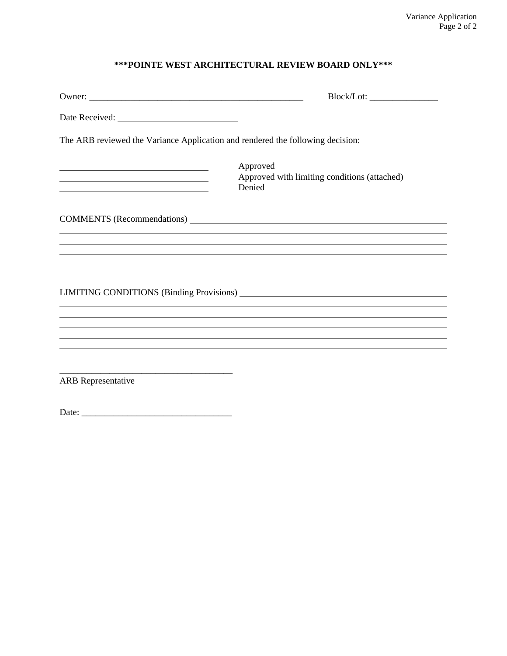# **\*\*\*POINTE WEST ARCHITECTURAL REVIEW BOARD ONLY\*\*\***

| The ARB reviewed the Variance Application and rendered the following decision: |                                                                                  |  |
|--------------------------------------------------------------------------------|----------------------------------------------------------------------------------|--|
| <u> 1989 - Johann Barbara, martxa alemaniar amerikan a</u>                     | Approved<br>Approved with limiting conditions (attached)<br>Denied               |  |
|                                                                                | COMMENTS (Recommendations)                                                       |  |
|                                                                                | ,我们也不会有什么。""我们的人,我们也不会有什么?""我们的人,我们也不会有什么?""我们的人,我们也不会有什么?""我们的人,我们也不会有什么?""我们的人 |  |
|                                                                                |                                                                                  |  |
|                                                                                |                                                                                  |  |
|                                                                                |                                                                                  |  |
|                                                                                | ,我们也不会有什么。""我们的人,我们也不会有什么?""我们的人,我们也不会有什么?""我们的人,我们也不会有什么?""我们的人,我们也不会有什么?""我们的人 |  |
| <b>ARB</b> Representative                                                      |                                                                                  |  |

Date: \_\_\_\_\_\_\_\_\_\_\_\_\_\_\_\_\_\_\_\_\_\_\_\_\_\_\_\_\_\_\_\_\_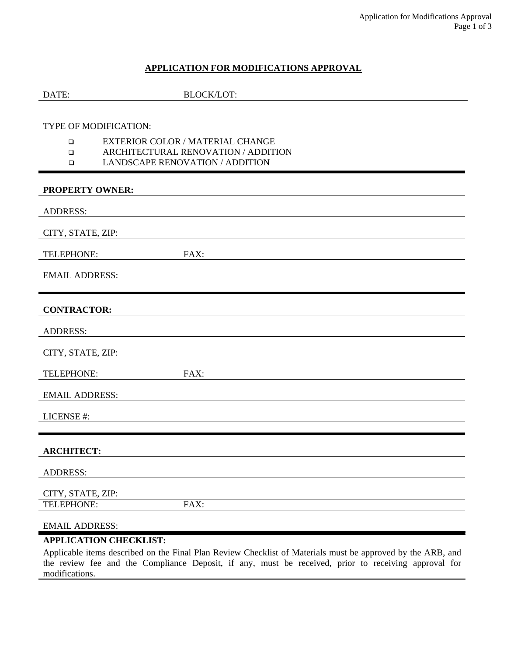# **APPLICATION FOR MODIFICATIONS APPROVAL**

| DATE:                  | <b>BLOCK/LOT:</b>                                                                                                                           |
|------------------------|---------------------------------------------------------------------------------------------------------------------------------------------|
|                        |                                                                                                                                             |
|                        | TYPE OF MODIFICATION:                                                                                                                       |
| $\Box$                 | EXTERIOR COLOR / MATERIAL CHANGE                                                                                                            |
| $\Box$<br>$\Box$       | ARCHITECTURAL RENOVATION / ADDITION<br>LANDSCAPE RENOVATION / ADDITION                                                                      |
| <b>PROPERTY OWNER:</b> |                                                                                                                                             |
| <b>ADDRESS:</b>        |                                                                                                                                             |
| CITY, STATE, ZIP:      |                                                                                                                                             |
| TELEPHONE:             | FAX:                                                                                                                                        |
| <b>EMAIL ADDRESS:</b>  |                                                                                                                                             |
| <b>CONTRACTOR:</b>     |                                                                                                                                             |
| <b>ADDRESS:</b>        |                                                                                                                                             |
| CITY, STATE, ZIP:      |                                                                                                                                             |
| TELEPHONE:             | FAX:                                                                                                                                        |
| <b>EMAIL ADDRESS:</b>  |                                                                                                                                             |
| LICENSE#:              |                                                                                                                                             |
| <b>ARCHITECT:</b>      |                                                                                                                                             |
| <b>ADDRESS:</b>        |                                                                                                                                             |
| CITY, STATE, ZIP:      |                                                                                                                                             |
| TELEPHONE:             | FAX:                                                                                                                                        |
| <b>EMAIL ADDRESS:</b>  |                                                                                                                                             |
|                        | <b>APPLICATION CHECKLIST:</b><br>Applicable items described on the Einel Plan Deview Chaekliet of Meterials must be enproved by the ADD and |

Applicable items described on the Final Plan Review Checklist of Materials must be approved by the ARB, and the review fee and the Compliance Deposit, if any, must be received, prior to receiving approval for modifications.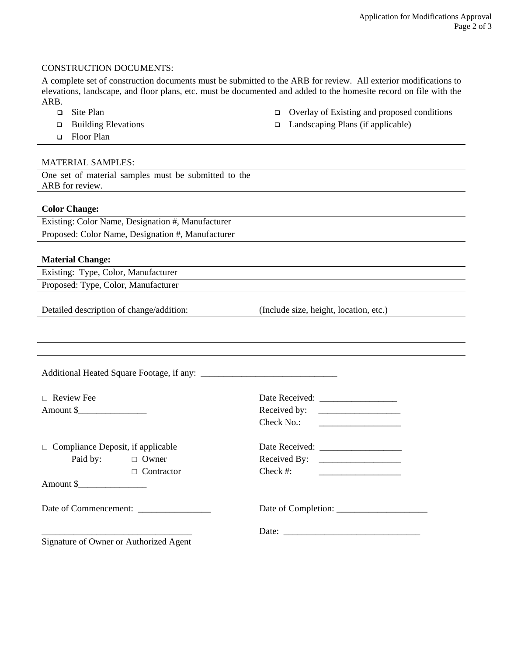#### CONSTRUCTION DOCUMENTS:

A complete set of construction documents must be submitted to the ARB for review. All exterior modifications to elevations, landscape, and floor plans, etc. must be documented and added to the homesite record on file with the ARB.

- 
- 
- □ Floor Plan

#### MATERIAL SAMPLES:

One set of material samples must be submitted to the ARB for review.

#### **Color Change:**

Existing: Color Name, Designation #, Manufacturer Proposed: Color Name, Designation #, Manufacturer

#### **Material Change:**

Existing: Type, Color, Manufacturer Proposed: Type, Color, Manufacturer

Detailed description of change/addition: (Include size, height, location, etc.)

| $\Box$ Review Fee                        |                                        |                                                                                                                                      |
|------------------------------------------|----------------------------------------|--------------------------------------------------------------------------------------------------------------------------------------|
|                                          |                                        |                                                                                                                                      |
|                                          |                                        |                                                                                                                                      |
| $\Box$ Compliance Deposit, if applicable |                                        |                                                                                                                                      |
|                                          | Paid by: $\Box$ Owner                  | Received By: $\qquad \qquad$                                                                                                         |
|                                          | $\Box$ Contractor                      | $Check \#:$<br><u> 1989 - Jan Stein Stein Stein Stein Stein Stein Stein Stein Stein Stein Stein Stein Stein Stein Stein Stein St</u> |
|                                          |                                        |                                                                                                                                      |
| Date of Commencement:                    |                                        |                                                                                                                                      |
|                                          |                                        |                                                                                                                                      |
|                                          | Signature of Owner or Authorized Agent |                                                                                                                                      |

- $\Box$  Site Plan  $\Box$  Overlay of Existing and proposed conditions
- Building Elevations Landscaping Plans (if applicable)